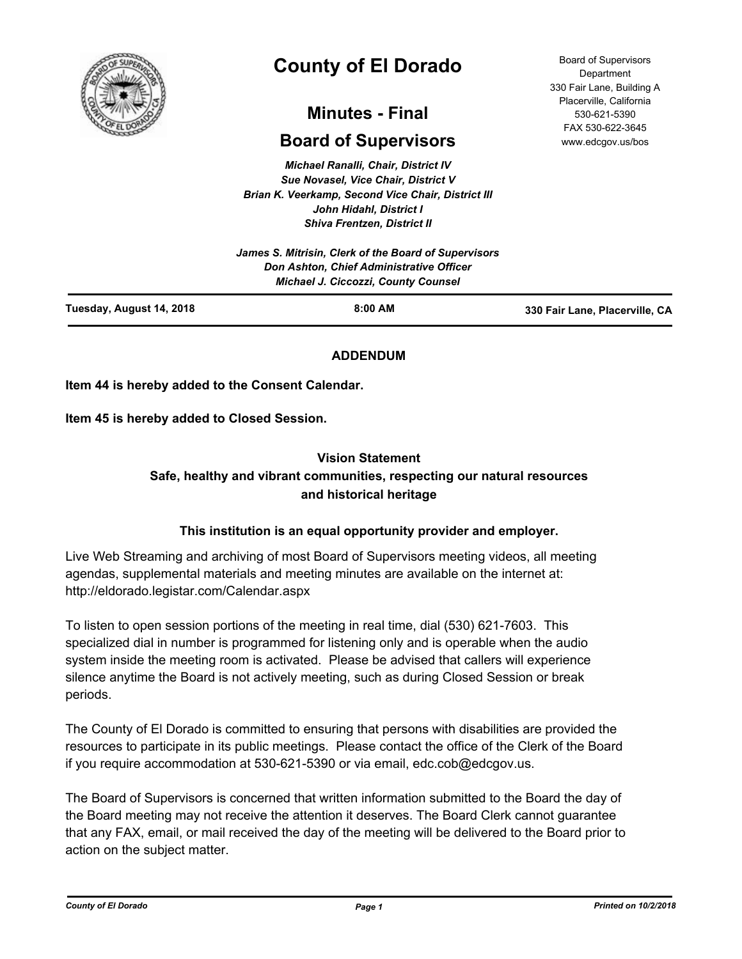

# **County of El Dorado**

# **Minutes - Final**

# **Board of Supervisors**

*Michael Ranalli, Chair, District IV Sue Novasel, Vice Chair, District V Brian K. Veerkamp, Second Vice Chair, District III John Hidahl, District I Shiva Frentzen, District II*

|                          | James S. Mitrisin, Clerk of the Board of Supervisors<br><b>Don Ashton, Chief Administrative Officer</b><br><b>Michael J. Ciccozzi, County Counsel</b> |                                |
|--------------------------|-------------------------------------------------------------------------------------------------------------------------------------------------------|--------------------------------|
| Tuesday, August 14, 2018 | $8:00$ AM                                                                                                                                             | 330 Fair Lane, Placerville, CA |

# **ADDENDUM**

**Item 44 is hereby added to the Consent Calendar.**

**Item 45 is hereby added to Closed Session.**

### **Vision Statement**

# **Safe, healthy and vibrant communities, respecting our natural resources and historical heritage**

# **This institution is an equal opportunity provider and employer.**

Live Web Streaming and archiving of most Board of Supervisors meeting videos, all meeting agendas, supplemental materials and meeting minutes are available on the internet at: http://eldorado.legistar.com/Calendar.aspx

To listen to open session portions of the meeting in real time, dial (530) 621-7603. This specialized dial in number is programmed for listening only and is operable when the audio system inside the meeting room is activated. Please be advised that callers will experience silence anytime the Board is not actively meeting, such as during Closed Session or break periods.

The County of El Dorado is committed to ensuring that persons with disabilities are provided the resources to participate in its public meetings. Please contact the office of the Clerk of the Board if you require accommodation at 530-621-5390 or via email, edc.cob@edcgov.us.

The Board of Supervisors is concerned that written information submitted to the Board the day of the Board meeting may not receive the attention it deserves. The Board Clerk cannot guarantee that any FAX, email, or mail received the day of the meeting will be delivered to the Board prior to action on the subject matter.

Board of Supervisors Department 330 Fair Lane, Building A Placerville, California 530-621-5390 FAX 530-622-3645 www.edcgov.us/bos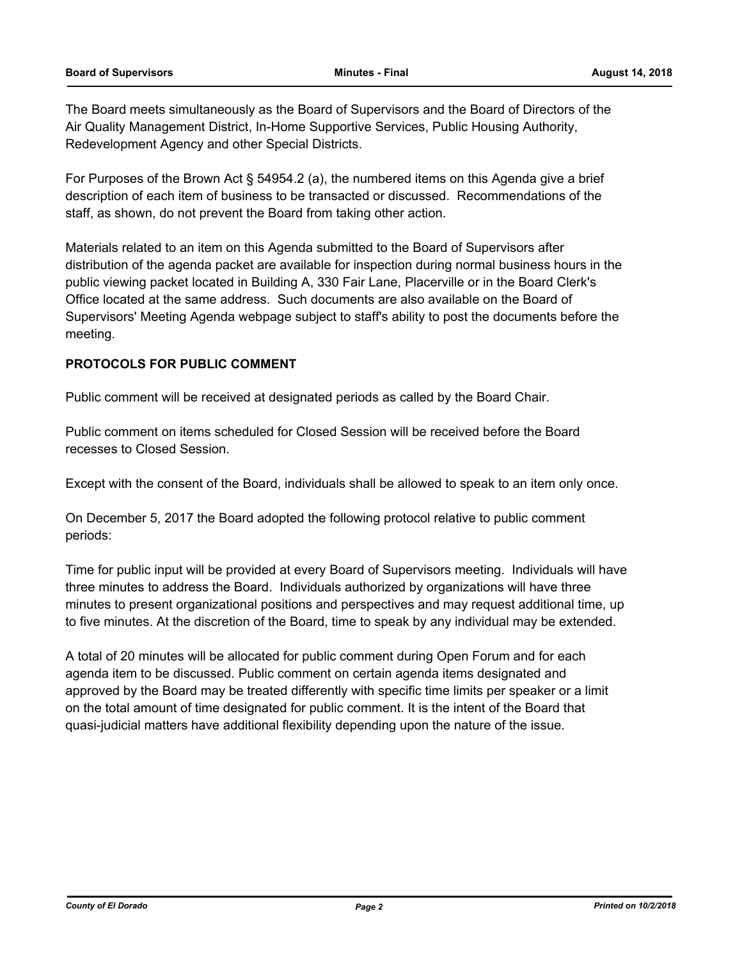The Board meets simultaneously as the Board of Supervisors and the Board of Directors of the Air Quality Management District, In-Home Supportive Services, Public Housing Authority, Redevelopment Agency and other Special Districts.

For Purposes of the Brown Act § 54954.2 (a), the numbered items on this Agenda give a brief description of each item of business to be transacted or discussed. Recommendations of the staff, as shown, do not prevent the Board from taking other action.

Materials related to an item on this Agenda submitted to the Board of Supervisors after distribution of the agenda packet are available for inspection during normal business hours in the public viewing packet located in Building A, 330 Fair Lane, Placerville or in the Board Clerk's Office located at the same address. Such documents are also available on the Board of Supervisors' Meeting Agenda webpage subject to staff's ability to post the documents before the meeting.

### **PROTOCOLS FOR PUBLIC COMMENT**

Public comment will be received at designated periods as called by the Board Chair.

Public comment on items scheduled for Closed Session will be received before the Board recesses to Closed Session.

Except with the consent of the Board, individuals shall be allowed to speak to an item only once.

On December 5, 2017 the Board adopted the following protocol relative to public comment periods:

Time for public input will be provided at every Board of Supervisors meeting. Individuals will have three minutes to address the Board. Individuals authorized by organizations will have three minutes to present organizational positions and perspectives and may request additional time, up to five minutes. At the discretion of the Board, time to speak by any individual may be extended.

A total of 20 minutes will be allocated for public comment during Open Forum and for each agenda item to be discussed. Public comment on certain agenda items designated and approved by the Board may be treated differently with specific time limits per speaker or a limit on the total amount of time designated for public comment. It is the intent of the Board that quasi-judicial matters have additional flexibility depending upon the nature of the issue.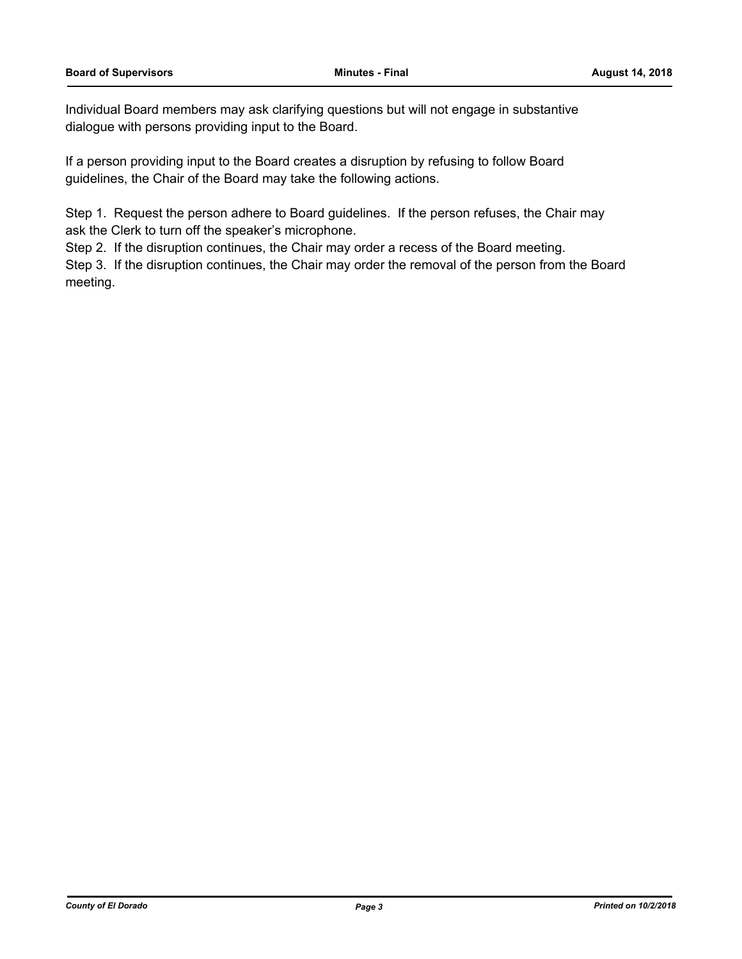Individual Board members may ask clarifying questions but will not engage in substantive dialogue with persons providing input to the Board.

If a person providing input to the Board creates a disruption by refusing to follow Board guidelines, the Chair of the Board may take the following actions.

Step 1. Request the person adhere to Board guidelines. If the person refuses, the Chair may ask the Clerk to turn off the speaker's microphone.

Step 2. If the disruption continues, the Chair may order a recess of the Board meeting.

Step 3. If the disruption continues, the Chair may order the removal of the person from the Board meeting.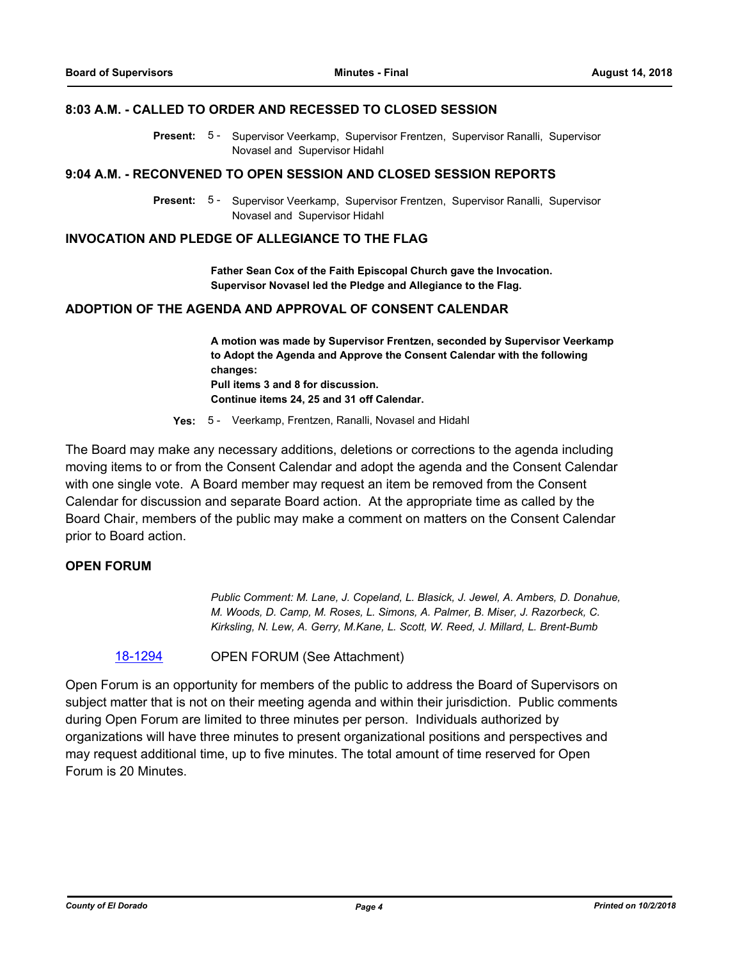### **8:03 A.M. - CALLED TO ORDER AND RECESSED TO CLOSED SESSION**

Present: 5 - Supervisor Veerkamp, Supervisor Frentzen, Supervisor Ranalli, Supervisor Novasel and Supervisor Hidahl

### **9:04 A.M. - RECONVENED TO OPEN SESSION AND CLOSED SESSION REPORTS**

Present: 5 - Supervisor Veerkamp, Supervisor Frentzen, Supervisor Ranalli, Supervisor Novasel and Supervisor Hidahl

# **INVOCATION AND PLEDGE OF ALLEGIANCE TO THE FLAG**

**Father Sean Cox of the Faith Episcopal Church gave the Invocation. Supervisor Novasel led the Pledge and Allegiance to the Flag.**

# **ADOPTION OF THE AGENDA AND APPROVAL OF CONSENT CALENDAR**

**A motion was made by Supervisor Frentzen, seconded by Supervisor Veerkamp to Adopt the Agenda and Approve the Consent Calendar with the following changes: Pull items 3 and 8 for discussion. Continue items 24, 25 and 31 off Calendar.**

**Yes:** 5 - Veerkamp, Frentzen, Ranalli, Novasel and Hidahl

The Board may make any necessary additions, deletions or corrections to the agenda including moving items to or from the Consent Calendar and adopt the agenda and the Consent Calendar with one single vote. A Board member may request an item be removed from the Consent Calendar for discussion and separate Board action. At the appropriate time as called by the Board Chair, members of the public may make a comment on matters on the Consent Calendar prior to Board action.

### **OPEN FORUM**

*Public Comment: M. Lane, J. Copeland, L. Blasick, J. Jewel, A. Ambers, D. Donahue, M. Woods, D. Camp, M. Roses, L. Simons, A. Palmer, B. Miser, J. Razorbeck, C. Kirksling, N. Lew, A. Gerry, M.Kane, L. Scott, W. Reed, J. Millard, L. Brent-Bumb*

[18-1294](http://eldorado.legistar.com/gateway.aspx?m=l&id=/matter.aspx?key=24645) OPEN FORUM (See Attachment)

Open Forum is an opportunity for members of the public to address the Board of Supervisors on subject matter that is not on their meeting agenda and within their jurisdiction. Public comments during Open Forum are limited to three minutes per person. Individuals authorized by organizations will have three minutes to present organizational positions and perspectives and may request additional time, up to five minutes. The total amount of time reserved for Open Forum is 20 Minutes.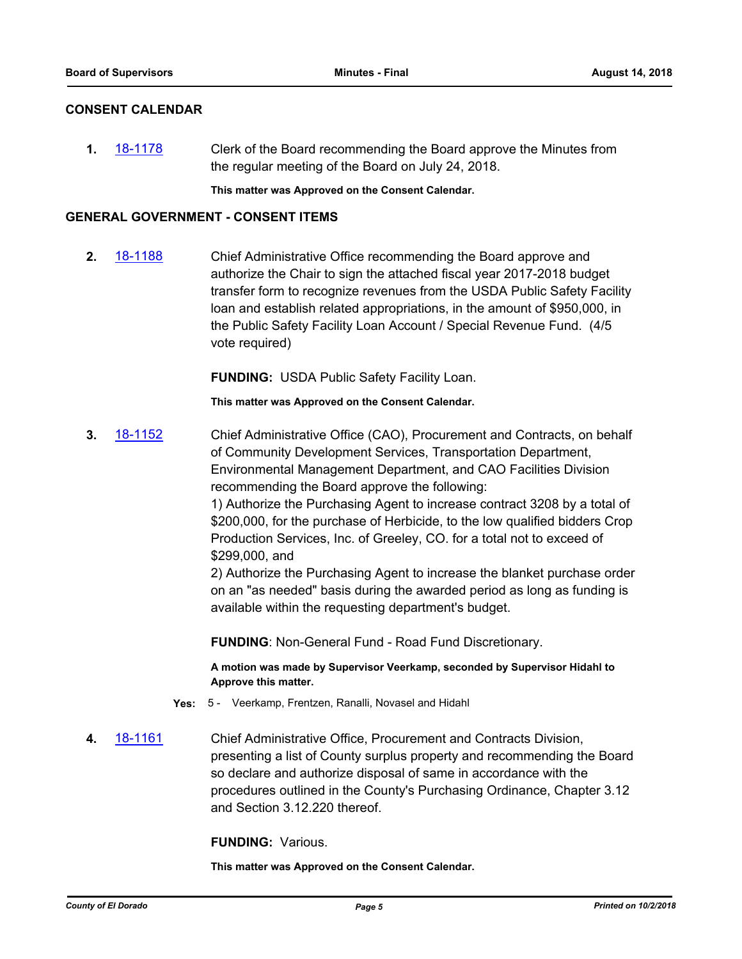# **CONSENT CALENDAR**

**1.** [18-1178](http://eldorado.legistar.com/gateway.aspx?m=l&id=/matter.aspx?key=24528) Clerk of the Board recommending the Board approve the Minutes from the regular meeting of the Board on July 24, 2018.

**This matter was Approved on the Consent Calendar.**

### **GENERAL GOVERNMENT - CONSENT ITEMS**

**2.** [18-1188](http://eldorado.legistar.com/gateway.aspx?m=l&id=/matter.aspx?key=24538) Chief Administrative Office recommending the Board approve and authorize the Chair to sign the attached fiscal year 2017-2018 budget transfer form to recognize revenues from the USDA Public Safety Facility loan and establish related appropriations, in the amount of \$950,000, in the Public Safety Facility Loan Account / Special Revenue Fund. (4/5 vote required)

**FUNDING:** USDA Public Safety Facility Loan.

**This matter was Approved on the Consent Calendar.**

**3.** [18-1152](http://eldorado.legistar.com/gateway.aspx?m=l&id=/matter.aspx?key=24502) Chief Administrative Office (CAO), Procurement and Contracts, on behalf of Community Development Services, Transportation Department, Environmental Management Department, and CAO Facilities Division recommending the Board approve the following:

> 1) Authorize the Purchasing Agent to increase contract 3208 by a total of \$200,000, for the purchase of Herbicide, to the low qualified bidders Crop Production Services, Inc. of Greeley, CO. for a total not to exceed of \$299,000, and

> 2) Authorize the Purchasing Agent to increase the blanket purchase order on an "as needed" basis during the awarded period as long as funding is available within the requesting department's budget.

**FUNDING**: Non-General Fund - Road Fund Discretionary.

**A motion was made by Supervisor Veerkamp, seconded by Supervisor Hidahl to Approve this matter.**

- **Yes:** 5 Veerkamp, Frentzen, Ranalli, Novasel and Hidahl
- **4.** [18-1161](http://eldorado.legistar.com/gateway.aspx?m=l&id=/matter.aspx?key=24511) Chief Administrative Office, Procurement and Contracts Division, presenting a list of County surplus property and recommending the Board so declare and authorize disposal of same in accordance with the procedures outlined in the County's Purchasing Ordinance, Chapter 3.12 and Section 3.12.220 thereof.

**FUNDING:** Various.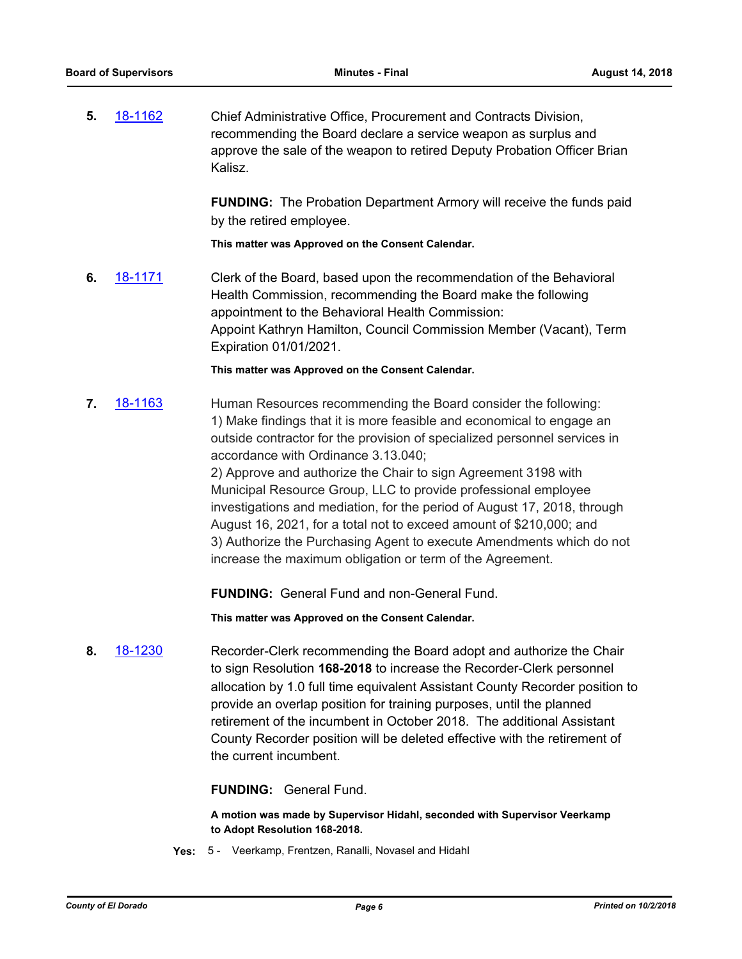**5.** [18-1162](http://eldorado.legistar.com/gateway.aspx?m=l&id=/matter.aspx?key=24512) Chief Administrative Office, Procurement and Contracts Division, recommending the Board declare a service weapon as surplus and approve the sale of the weapon to retired Deputy Probation Officer Brian Kalisz.

> **FUNDING:** The Probation Department Armory will receive the funds paid by the retired employee.

**This matter was Approved on the Consent Calendar.**

**6.** [18-1171](http://eldorado.legistar.com/gateway.aspx?m=l&id=/matter.aspx?key=24521) Clerk of the Board, based upon the recommendation of the Behavioral Health Commission, recommending the Board make the following appointment to the Behavioral Health Commission: Appoint Kathryn Hamilton, Council Commission Member (Vacant), Term Expiration 01/01/2021.

### **This matter was Approved on the Consent Calendar.**

**7.** [18-1163](http://eldorado.legistar.com/gateway.aspx?m=l&id=/matter.aspx?key=24513) Human Resources recommending the Board consider the following: 1) Make findings that it is more feasible and economical to engage an outside contractor for the provision of specialized personnel services in accordance with Ordinance 3.13.040; 2) Approve and authorize the Chair to sign Agreement 3198 with Municipal Resource Group, LLC to provide professional employee investigations and mediation, for the period of August 17, 2018, through August 16, 2021, for a total not to exceed amount of \$210,000; and 3) Authorize the Purchasing Agent to execute Amendments which do not

**FUNDING:** General Fund and non-General Fund.

increase the maximum obligation or term of the Agreement.

**This matter was Approved on the Consent Calendar.**

**8.** [18-1230](http://eldorado.legistar.com/gateway.aspx?m=l&id=/matter.aspx?key=24581) Recorder-Clerk recommending the Board adopt and authorize the Chair to sign Resolution **168-2018** to increase the Recorder-Clerk personnel allocation by 1.0 full time equivalent Assistant County Recorder position to provide an overlap position for training purposes, until the planned retirement of the incumbent in October 2018. The additional Assistant County Recorder position will be deleted effective with the retirement of the current incumbent.

**FUNDING:** General Fund.

**A motion was made by Supervisor Hidahl, seconded with Supervisor Veerkamp to Adopt Resolution 168-2018.**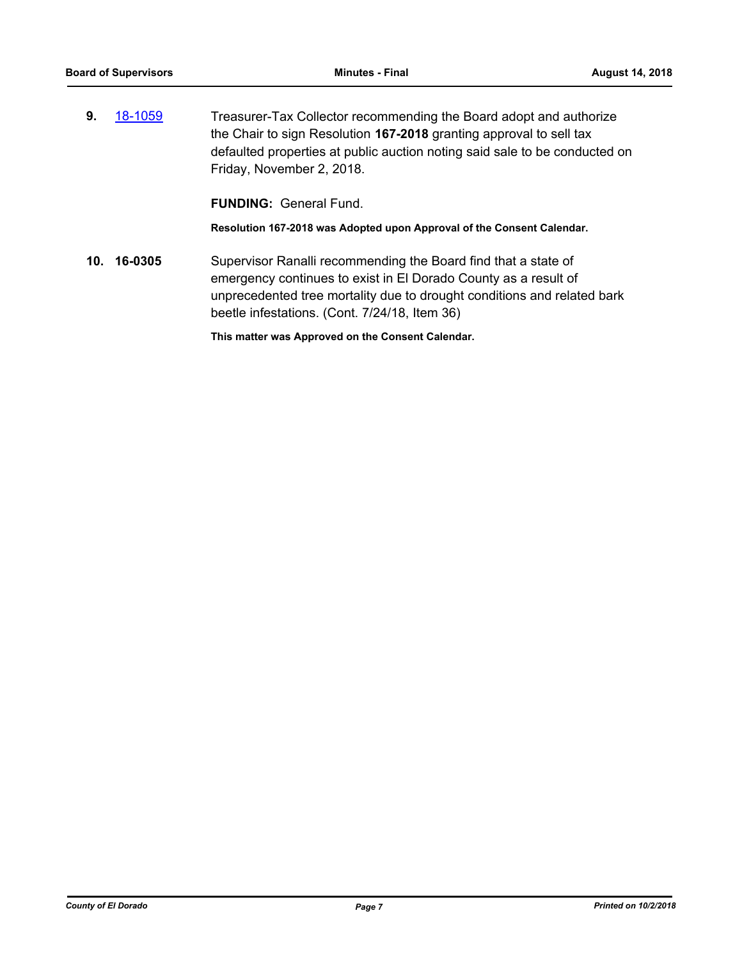**9.** [18-1059](http://eldorado.legistar.com/gateway.aspx?m=l&id=/matter.aspx?key=24409) Treasurer-Tax Collector recommending the Board adopt and authorize the Chair to sign Resolution **167-2018** granting approval to sell tax defaulted properties at public auction noting said sale to be conducted on Friday, November 2, 2018.

**FUNDING:** General Fund.

**Resolution 167-2018 was Adopted upon Approval of the Consent Calendar.**

**10. 16-0305** Supervisor Ranalli recommending the Board find that a state of emergency continues to exist in El Dorado County as a result of unprecedented tree mortality due to drought conditions and related bark beetle infestations. (Cont. 7/24/18, Item 36)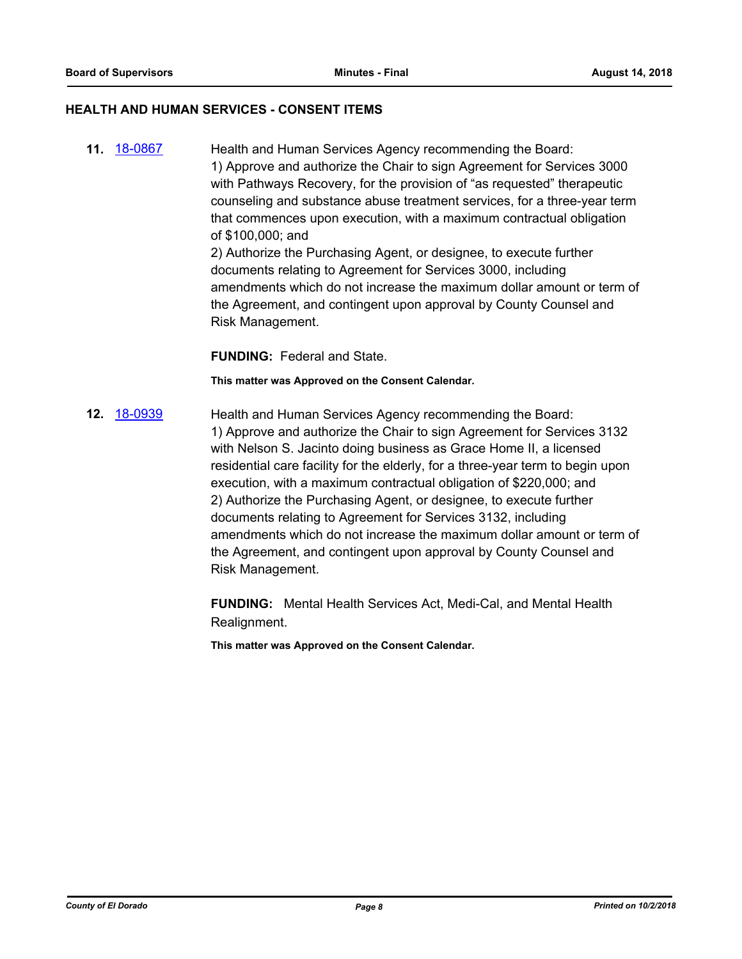# **HEALTH AND HUMAN SERVICES - CONSENT ITEMS**

**11.** [18-0867](http://eldorado.legistar.com/gateway.aspx?m=l&id=/matter.aspx?key=24214) Health and Human Services Agency recommending the Board: 1) Approve and authorize the Chair to sign Agreement for Services 3000 with Pathways Recovery, for the provision of "as requested" therapeutic counseling and substance abuse treatment services, for a three-year term that commences upon execution, with a maximum contractual obligation of \$100,000; and 2) Authorize the Purchasing Agent, or designee, to execute further

documents relating to Agreement for Services 3000, including amendments which do not increase the maximum dollar amount or term of the Agreement, and contingent upon approval by County Counsel and Risk Management.

**FUNDING:** Federal and State.

**This matter was Approved on the Consent Calendar.**

**12.** [18-0939](http://eldorado.legistar.com/gateway.aspx?m=l&id=/matter.aspx?key=24287) Health and Human Services Agency recommending the Board: 1) Approve and authorize the Chair to sign Agreement for Services 3132 with Nelson S. Jacinto doing business as Grace Home II, a licensed residential care facility for the elderly, for a three-year term to begin upon execution, with a maximum contractual obligation of \$220,000; and 2) Authorize the Purchasing Agent, or designee, to execute further documents relating to Agreement for Services 3132, including amendments which do not increase the maximum dollar amount or term of the Agreement, and contingent upon approval by County Counsel and Risk Management.

> **FUNDING:** Mental Health Services Act, Medi-Cal, and Mental Health Realignment.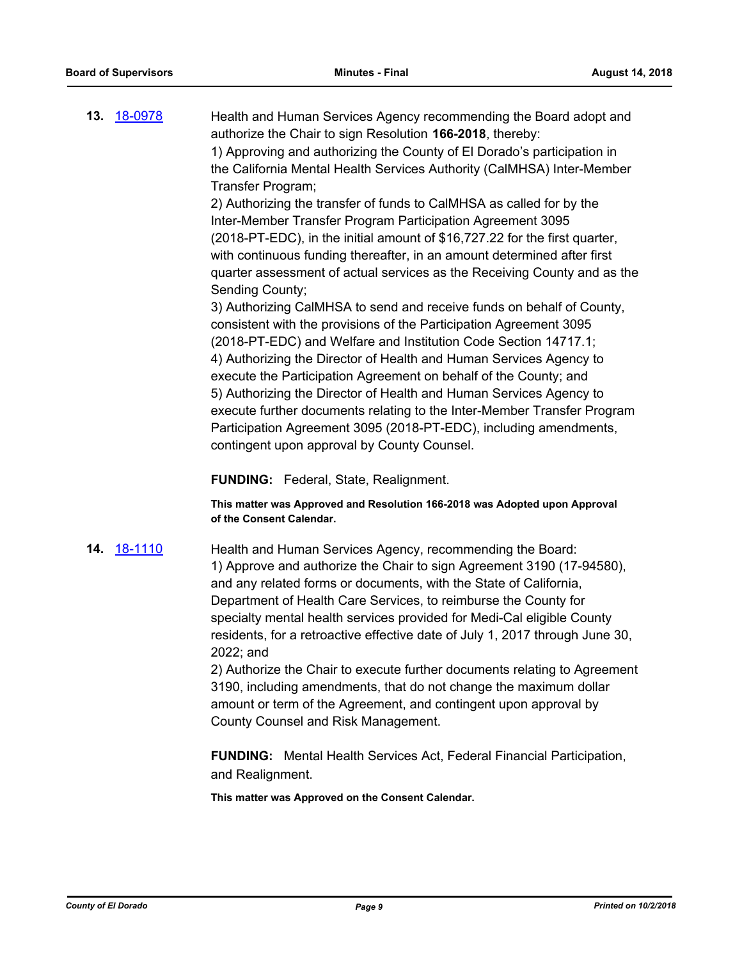**13.** [18-0978](http://eldorado.legistar.com/gateway.aspx?m=l&id=/matter.aspx?key=24326) Health and Human Services Agency recommending the Board adopt and authorize the Chair to sign Resolution **166-2018**, thereby: 1) Approving and authorizing the County of El Dorado's participation in the California Mental Health Services Authority (CalMHSA) Inter-Member Transfer Program;

2) Authorizing the transfer of funds to CalMHSA as called for by the Inter-Member Transfer Program Participation Agreement 3095 (2018-PT-EDC), in the initial amount of \$16,727.22 for the first quarter, with continuous funding thereafter, in an amount determined after first quarter assessment of actual services as the Receiving County and as the Sending County;

3) Authorizing CalMHSA to send and receive funds on behalf of County, consistent with the provisions of the Participation Agreement 3095 (2018-PT-EDC) and Welfare and Institution Code Section 14717.1; 4) Authorizing the Director of Health and Human Services Agency to execute the Participation Agreement on behalf of the County; and 5) Authorizing the Director of Health and Human Services Agency to execute further documents relating to the Inter-Member Transfer Program Participation Agreement 3095 (2018-PT-EDC), including amendments, contingent upon approval by County Counsel.

**FUNDING:** Federal, State, Realignment.

**This matter was Approved and Resolution 166-2018 was Adopted upon Approval of the Consent Calendar.**

**14.** [18-1110](http://eldorado.legistar.com/gateway.aspx?m=l&id=/matter.aspx?key=24460) Health and Human Services Agency, recommending the Board: 1) Approve and authorize the Chair to sign Agreement 3190 (17-94580), and any related forms or documents, with the State of California, Department of Health Care Services, to reimburse the County for specialty mental health services provided for Medi-Cal eligible County residents, for a retroactive effective date of July 1, 2017 through June 30, 2022; and

> 2) Authorize the Chair to execute further documents relating to Agreement 3190, including amendments, that do not change the maximum dollar amount or term of the Agreement, and contingent upon approval by County Counsel and Risk Management.

**FUNDING:** Mental Health Services Act, Federal Financial Participation, and Realignment.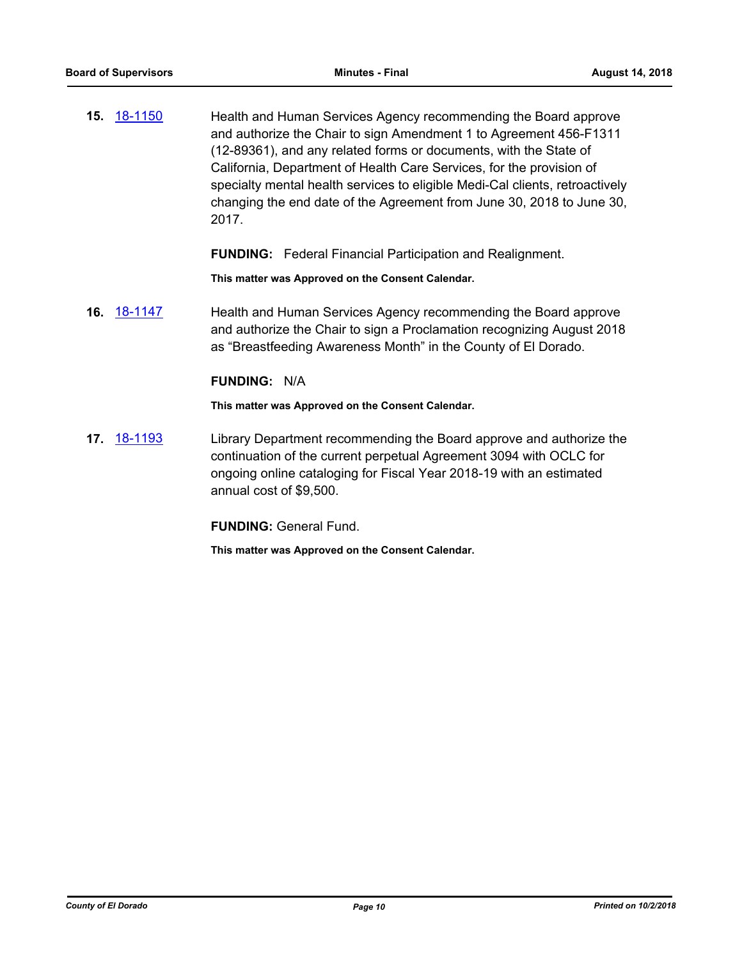**15.** [18-1150](http://eldorado.legistar.com/gateway.aspx?m=l&id=/matter.aspx?key=24500) Health and Human Services Agency recommending the Board approve and authorize the Chair to sign Amendment 1 to Agreement 456-F1311 (12-89361), and any related forms or documents, with the State of California, Department of Health Care Services, for the provision of specialty mental health services to eligible Medi-Cal clients, retroactively changing the end date of the Agreement from June 30, 2018 to June 30, 2017.

**FUNDING:** Federal Financial Participation and Realignment.

**This matter was Approved on the Consent Calendar.**

**16.** [18-1147](http://eldorado.legistar.com/gateway.aspx?m=l&id=/matter.aspx?key=24497) Health and Human Services Agency recommending the Board approve and authorize the Chair to sign a Proclamation recognizing August 2018 as "Breastfeeding Awareness Month" in the County of El Dorado.

### **FUNDING:** N/A

**This matter was Approved on the Consent Calendar.**

**17.** [18-1193](http://eldorado.legistar.com/gateway.aspx?m=l&id=/matter.aspx?key=24544) Library Department recommending the Board approve and authorize the continuation of the current perpetual Agreement 3094 with OCLC for ongoing online cataloging for Fiscal Year 2018-19 with an estimated annual cost of \$9,500.

**FUNDING:** General Fund.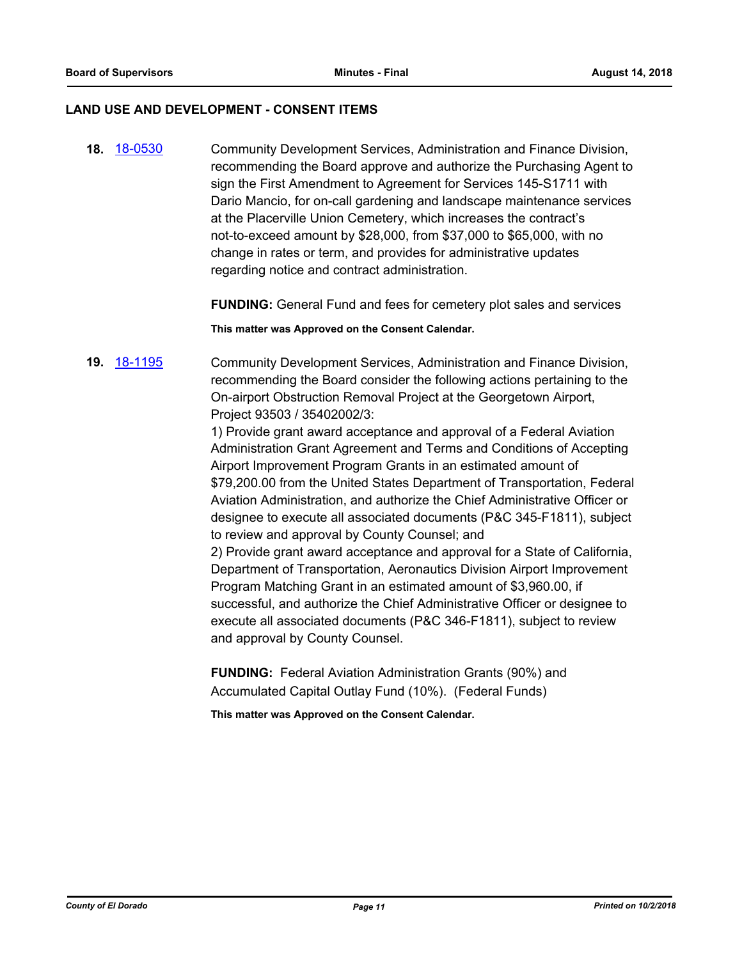### **LAND USE AND DEVELOPMENT - CONSENT ITEMS**

**18.** [18-0530](http://eldorado.legistar.com/gateway.aspx?m=l&id=/matter.aspx?key=23875) Community Development Services, Administration and Finance Division, recommending the Board approve and authorize the Purchasing Agent to sign the First Amendment to Agreement for Services 145-S1711 with Dario Mancio, for on-call gardening and landscape maintenance services at the Placerville Union Cemetery, which increases the contract's not-to-exceed amount by \$28,000, from \$37,000 to \$65,000, with no change in rates or term, and provides for administrative updates regarding notice and contract administration.

**FUNDING:** General Fund and fees for cemetery plot sales and services

**This matter was Approved on the Consent Calendar.**

**19.** [18-1195](http://eldorado.legistar.com/gateway.aspx?m=l&id=/matter.aspx?key=24546) Community Development Services, Administration and Finance Division, recommending the Board consider the following actions pertaining to the On-airport Obstruction Removal Project at the Georgetown Airport, Project 93503 / 35402002/3:

> 1) Provide grant award acceptance and approval of a Federal Aviation Administration Grant Agreement and Terms and Conditions of Accepting Airport Improvement Program Grants in an estimated amount of \$79,200.00 from the United States Department of Transportation, Federal Aviation Administration, and authorize the Chief Administrative Officer or designee to execute all associated documents (P&C 345-F1811), subject to review and approval by County Counsel; and

> 2) Provide grant award acceptance and approval for a State of California, Department of Transportation, Aeronautics Division Airport Improvement Program Matching Grant in an estimated amount of \$3,960.00, if successful, and authorize the Chief Administrative Officer or designee to execute all associated documents (P&C 346-F1811), subject to review and approval by County Counsel.

**FUNDING:** Federal Aviation Administration Grants (90%) and Accumulated Capital Outlay Fund (10%). (Federal Funds)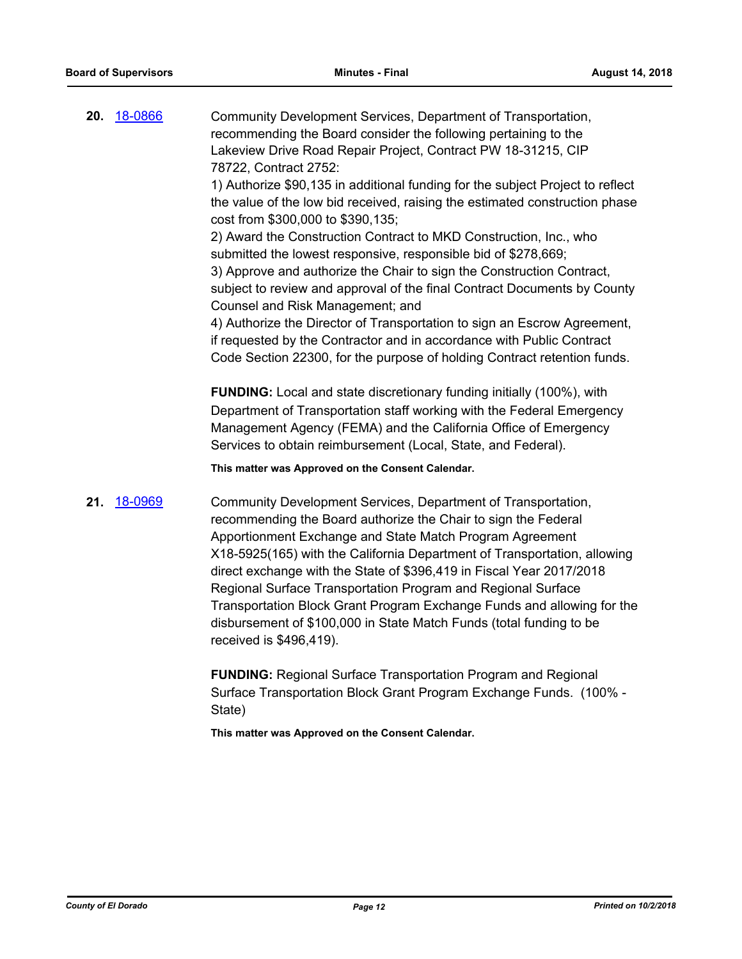| 20. | 18-0866 | Community Development Services, Department of Transportation,<br>recommending the Board consider the following pertaining to the                                              |
|-----|---------|-------------------------------------------------------------------------------------------------------------------------------------------------------------------------------|
|     |         | Lakeview Drive Road Repair Project, Contract PW 18-31215, CIP                                                                                                                 |
|     |         | 78722, Contract 2752:                                                                                                                                                         |
|     |         | 1) Authorize \$90,135 in additional funding for the subject Project to reflect                                                                                                |
|     |         | the value of the low bid received, raising the estimated construction phase                                                                                                   |
|     |         | cost from \$300,000 to \$390,135;                                                                                                                                             |
|     |         | 2) Award the Construction Contract to MKD Construction, Inc., who                                                                                                             |
|     |         | submitted the lowest responsive, responsible bid of \$278,669;                                                                                                                |
|     |         | 3) Approve and authorize the Chair to sign the Construction Contract,                                                                                                         |
|     |         | subject to review and approval of the final Contract Documents by County                                                                                                      |
|     |         | Counsel and Risk Management; and                                                                                                                                              |
|     |         | 4) Authorize the Director of Transportation to sign an Escrow Agreement,                                                                                                      |
|     |         | $\mathbf{f}$ , and a set of the first $\bigcap_{i=1}^n A_i$ , and a set of the set of a set of a set of $\bigcap_{i=1}^n A_i$ . $\bigcap_{i=1}^n A_i$ , $\bigcap_{i=1}^n A_i$ |

if requested by the Contractor and in accordance with Public Contract Code Section 22300, for the purpose of holding Contract retention funds.

**FUNDING:** Local and state discretionary funding initially (100%), with Department of Transportation staff working with the Federal Emergency Management Agency (FEMA) and the California Office of Emergency Services to obtain reimbursement (Local, State, and Federal).

**This matter was Approved on the Consent Calendar.**

**21.** [18-0969](http://eldorado.legistar.com/gateway.aspx?m=l&id=/matter.aspx?key=24317) Community Development Services, Department of Transportation, recommending the Board authorize the Chair to sign the Federal Apportionment Exchange and State Match Program Agreement X18-5925(165) with the California Department of Transportation, allowing direct exchange with the State of \$396,419 in Fiscal Year 2017/2018 Regional Surface Transportation Program and Regional Surface Transportation Block Grant Program Exchange Funds and allowing for the disbursement of \$100,000 in State Match Funds (total funding to be received is \$496,419).

> **FUNDING:** Regional Surface Transportation Program and Regional Surface Transportation Block Grant Program Exchange Funds. (100% - State)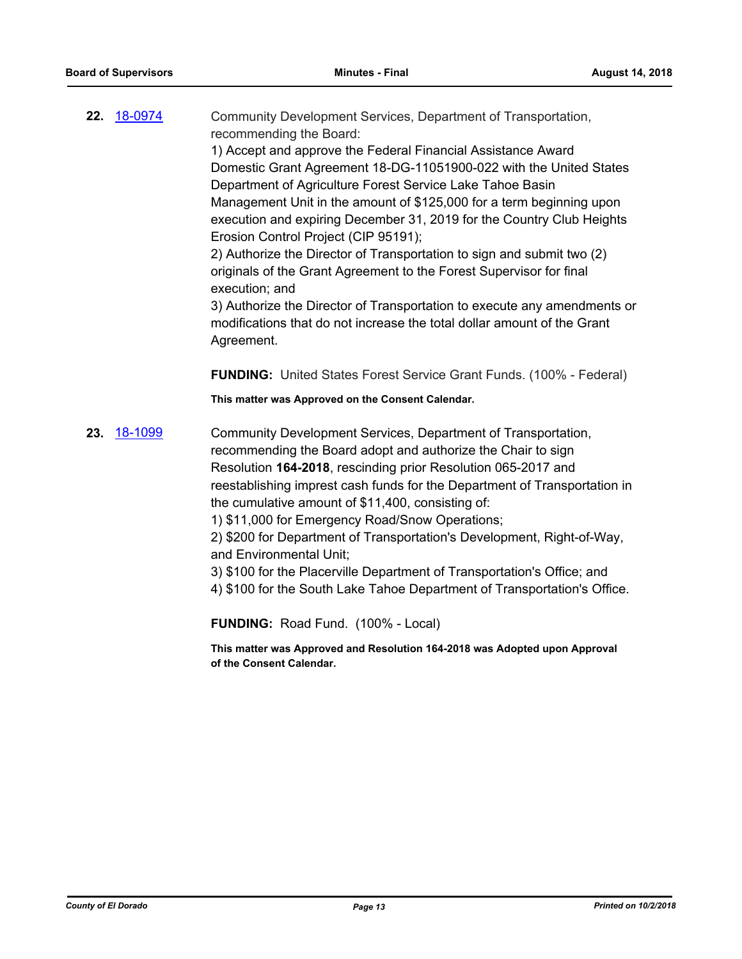| 22. 18-0974 | Community Development Services, Department of Transportation,<br>recommending the Board: |
|-------------|------------------------------------------------------------------------------------------|
|             | 1) Accept and approve the Federal Financial Assistance Award                             |
|             | Domestic Grant Agreement 18-DG-11051900-022 with the United States                       |
|             | Department of Agriculture Forest Service Lake Tahoe Basin                                |
|             | Management Unit in the amount of \$125,000 for a term beginning upon                     |
|             | execution and expiring December 31, 2019 for the Country Club Heights                    |
|             | Erosion Control Project (CIP 95191);                                                     |

2) Authorize the Director of Transportation to sign and submit two (2) originals of the Grant Agreement to the Forest Supervisor for final execution; and

3) Authorize the Director of Transportation to execute any amendments or modifications that do not increase the total dollar amount of the Grant Agreement.

**FUNDING:** United States Forest Service Grant Funds. (100% - Federal)

**This matter was Approved on the Consent Calendar.**

**23.** [18-1099](http://eldorado.legistar.com/gateway.aspx?m=l&id=/matter.aspx?key=24449) Community Development Services, Department of Transportation, recommending the Board adopt and authorize the Chair to sign Resolution **164-2018**, rescinding prior Resolution 065-2017 and reestablishing imprest cash funds for the Department of Transportation in the cumulative amount of \$11,400, consisting of:

1) \$11,000 for Emergency Road/Snow Operations;

2) \$200 for Department of Transportation's Development, Right-of-Way, and Environmental Unit;

3) \$100 for the Placerville Department of Transportation's Office; and

4) \$100 for the South Lake Tahoe Department of Transportation's Office.

**FUNDING:** Road Fund. (100% - Local)

**This matter was Approved and Resolution 164-2018 was Adopted upon Approval of the Consent Calendar.**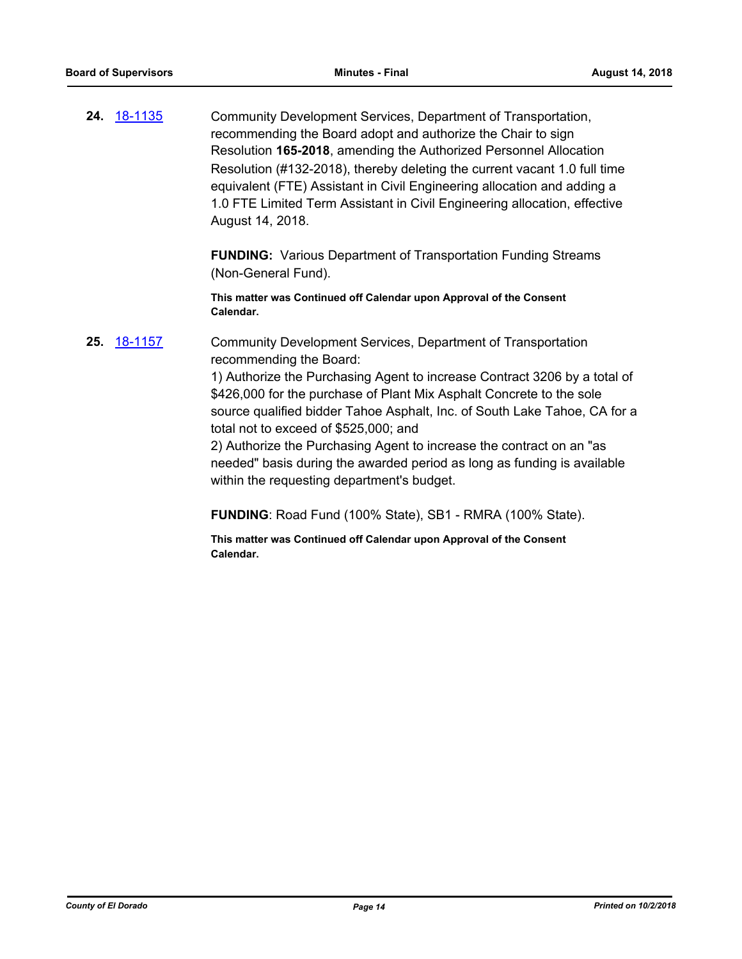**24.** [18-1135](http://eldorado.legistar.com/gateway.aspx?m=l&id=/matter.aspx?key=24485) Community Development Services, Department of Transportation, recommending the Board adopt and authorize the Chair to sign Resolution **165-2018**, amending the Authorized Personnel Allocation Resolution (#132-2018), thereby deleting the current vacant 1.0 full time equivalent (FTE) Assistant in Civil Engineering allocation and adding a 1.0 FTE Limited Term Assistant in Civil Engineering allocation, effective August 14, 2018.

> **FUNDING:** Various Department of Transportation Funding Streams (Non-General Fund).

**This matter was Continued off Calendar upon Approval of the Consent Calendar.**

**25.** [18-1157](http://eldorado.legistar.com/gateway.aspx?m=l&id=/matter.aspx?key=24507) Community Development Services, Department of Transportation recommending the Board:

> 1) Authorize the Purchasing Agent to increase Contract 3206 by a total of \$426,000 for the purchase of Plant Mix Asphalt Concrete to the sole source qualified bidder Tahoe Asphalt, Inc. of South Lake Tahoe, CA for a total not to exceed of \$525,000; and

2) Authorize the Purchasing Agent to increase the contract on an "as needed" basis during the awarded period as long as funding is available within the requesting department's budget.

**FUNDING**: Road Fund (100% State), SB1 - RMRA (100% State).

**This matter was Continued off Calendar upon Approval of the Consent Calendar.**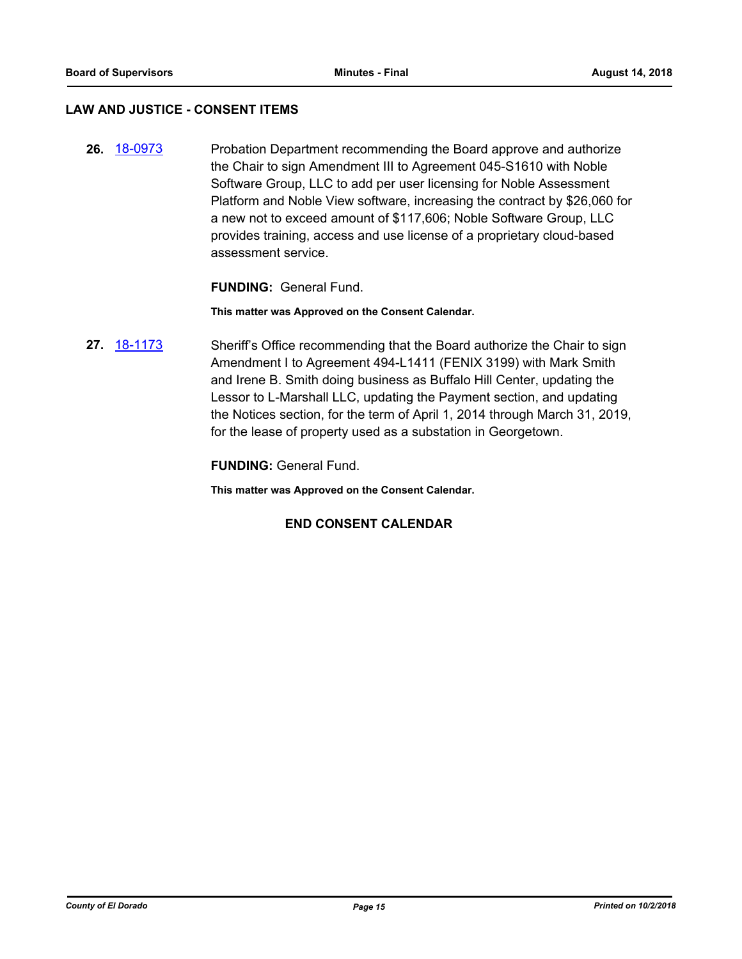## **LAW AND JUSTICE - CONSENT ITEMS**

**26.** [18-0973](http://eldorado.legistar.com/gateway.aspx?m=l&id=/matter.aspx?key=24321) Probation Department recommending the Board approve and authorize the Chair to sign Amendment III to Agreement 045-S1610 with Noble Software Group, LLC to add per user licensing for Noble Assessment Platform and Noble View software, increasing the contract by \$26,060 for a new not to exceed amount of \$117,606; Noble Software Group, LLC provides training, access and use license of a proprietary cloud-based assessment service.

**FUNDING:** General Fund.

**This matter was Approved on the Consent Calendar.**

**27.** [18-1173](http://eldorado.legistar.com/gateway.aspx?m=l&id=/matter.aspx?key=24523) Sheriff's Office recommending that the Board authorize the Chair to sign Amendment I to Agreement 494-L1411 (FENIX 3199) with Mark Smith and Irene B. Smith doing business as Buffalo Hill Center, updating the Lessor to L-Marshall LLC, updating the Payment section, and updating the Notices section, for the term of April 1, 2014 through March 31, 2019, for the lease of property used as a substation in Georgetown.

**FUNDING:** General Fund.

**This matter was Approved on the Consent Calendar.**

# **END CONSENT CALENDAR**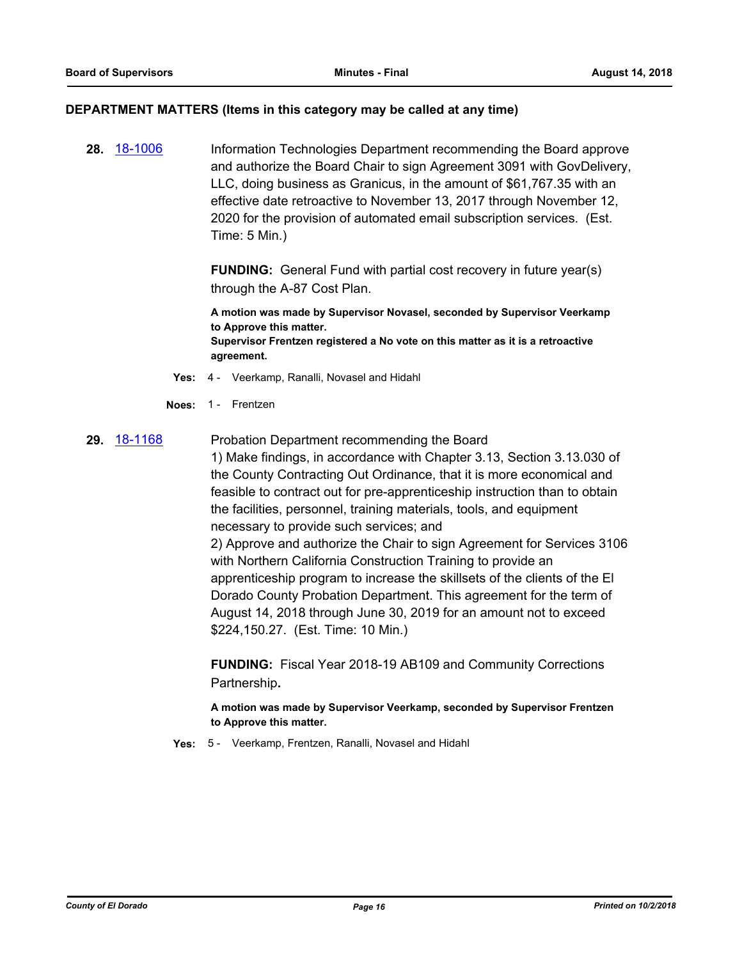### **DEPARTMENT MATTERS (Items in this category may be called at any time)**

**28.** [18-1006](http://eldorado.legistar.com/gateway.aspx?m=l&id=/matter.aspx?key=24355) Information Technologies Department recommending the Board approve and authorize the Board Chair to sign Agreement 3091 with GovDelivery, LLC, doing business as Granicus, in the amount of \$61,767.35 with an effective date retroactive to November 13, 2017 through November 12, 2020 for the provision of automated email subscription services. (Est. Time: 5 Min.)

> **FUNDING:** General Fund with partial cost recovery in future year(s) through the A-87 Cost Plan.

**A motion was made by Supervisor Novasel, seconded by Supervisor Veerkamp to Approve this matter. Supervisor Frentzen registered a No vote on this matter as it is a retroactive agreement.**

- **Yes:** 4 Veerkamp, Ranalli, Novasel and Hidahl
- **Noes:** 1 Frentzen

# **29.** [18-1168](http://eldorado.legistar.com/gateway.aspx?m=l&id=/matter.aspx?key=24518) Probation Department recommending the Board

1) Make findings, in accordance with Chapter 3.13, Section 3.13.030 of the County Contracting Out Ordinance, that it is more economical and feasible to contract out for pre-apprenticeship instruction than to obtain the facilities, personnel, training materials, tools, and equipment necessary to provide such services; and

2) Approve and authorize the Chair to sign Agreement for Services 3106 with Northern California Construction Training to provide an apprenticeship program to increase the skillsets of the clients of the El Dorado County Probation Department. This agreement for the term of August 14, 2018 through June 30, 2019 for an amount not to exceed \$224,150.27. (Est. Time: 10 Min.)

**FUNDING:** Fiscal Year 2018-19 AB109 and Community Corrections Partnership**.**

**A motion was made by Supervisor Veerkamp, seconded by Supervisor Frentzen to Approve this matter.**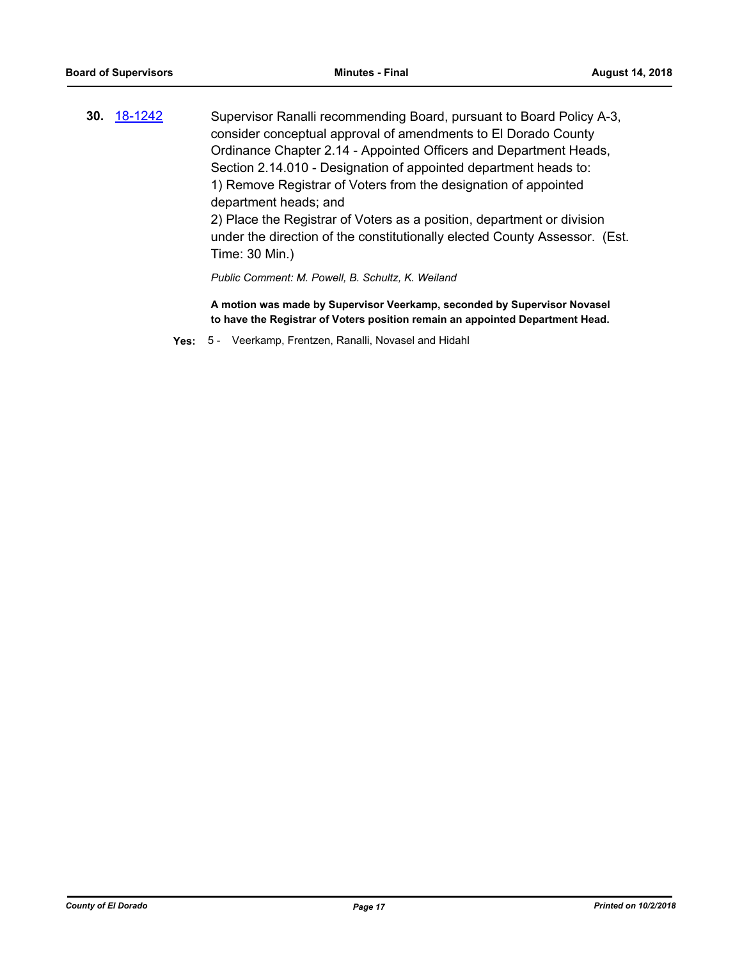**30.** [18-1242](http://eldorado.legistar.com/gateway.aspx?m=l&id=/matter.aspx?key=24593) Supervisor Ranalli recommending Board, pursuant to Board Policy A-3, consider conceptual approval of amendments to El Dorado County Ordinance Chapter 2.14 - Appointed Officers and Department Heads, Section 2.14.010 - Designation of appointed department heads to: 1) Remove Registrar of Voters from the designation of appointed department heads; and 2) Place the Registrar of Voters as a position, department or division under the direction of the constitutionally elected County Assessor. (Est.

Time: 30 Min.)

*Public Comment: M. Powell, B. Schultz, K. Weiland*

**A motion was made by Supervisor Veerkamp, seconded by Supervisor Novasel to have the Registrar of Voters position remain an appointed Department Head.**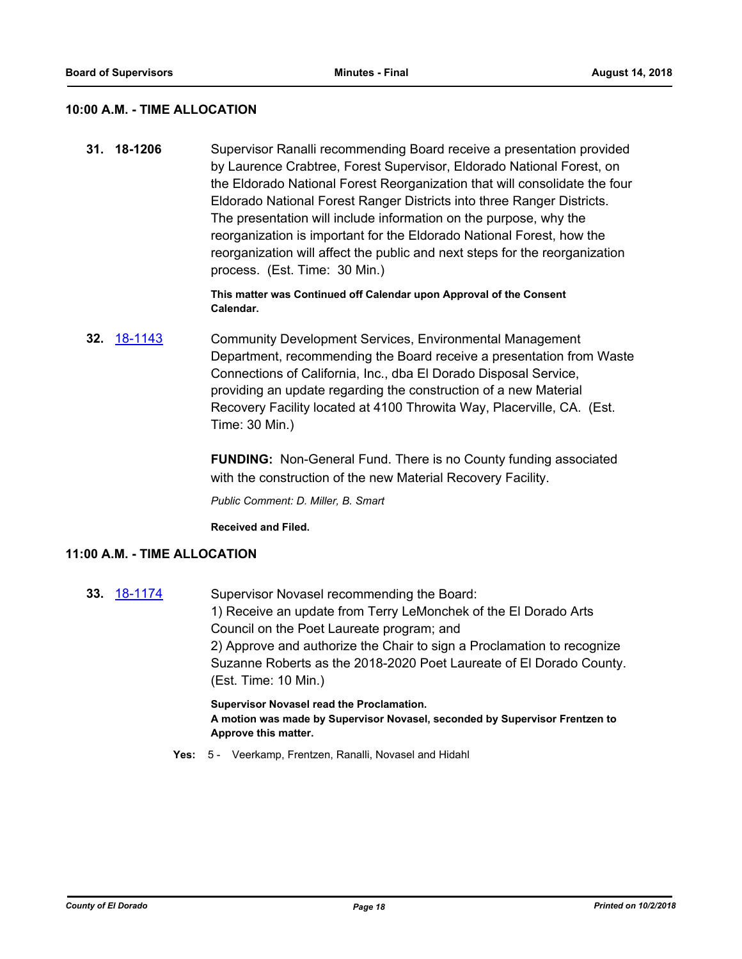### **10:00 A.M. - TIME ALLOCATION**

**31. 18-1206** Supervisor Ranalli recommending Board receive a presentation provided by Laurence Crabtree, Forest Supervisor, Eldorado National Forest, on the Eldorado National Forest Reorganization that will consolidate the four Eldorado National Forest Ranger Districts into three Ranger Districts. The presentation will include information on the purpose, why the reorganization is important for the Eldorado National Forest, how the reorganization will affect the public and next steps for the reorganization process. (Est. Time: 30 Min.)

> **This matter was Continued off Calendar upon Approval of the Consent Calendar.**

**32.** [18-1143](http://eldorado.legistar.com/gateway.aspx?m=l&id=/matter.aspx?key=24493) Community Development Services, Environmental Management Department, recommending the Board receive a presentation from Waste Connections of California, Inc., dba El Dorado Disposal Service, providing an update regarding the construction of a new Material Recovery Facility located at 4100 Throwita Way, Placerville, CA. (Est. Time: 30 Min.)

> **FUNDING:** Non-General Fund. There is no County funding associated with the construction of the new Material Recovery Facility.

*Public Comment: D. Miller, B. Smart*

**Received and Filed.**

### **11:00 A.M. - TIME ALLOCATION**

**33.** [18-1174](http://eldorado.legistar.com/gateway.aspx?m=l&id=/matter.aspx?key=24524) Supervisor Novasel recommending the Board: 1) Receive an update from Terry LeMonchek of the El Dorado Arts Council on the Poet Laureate program; and 2) Approve and authorize the Chair to sign a Proclamation to recognize Suzanne Roberts as the 2018-2020 Poet Laureate of El Dorado County. (Est. Time: 10 Min.) **Supervisor Novasel read the Proclamation.**

**A motion was made by Supervisor Novasel, seconded by Supervisor Frentzen to Approve this matter.**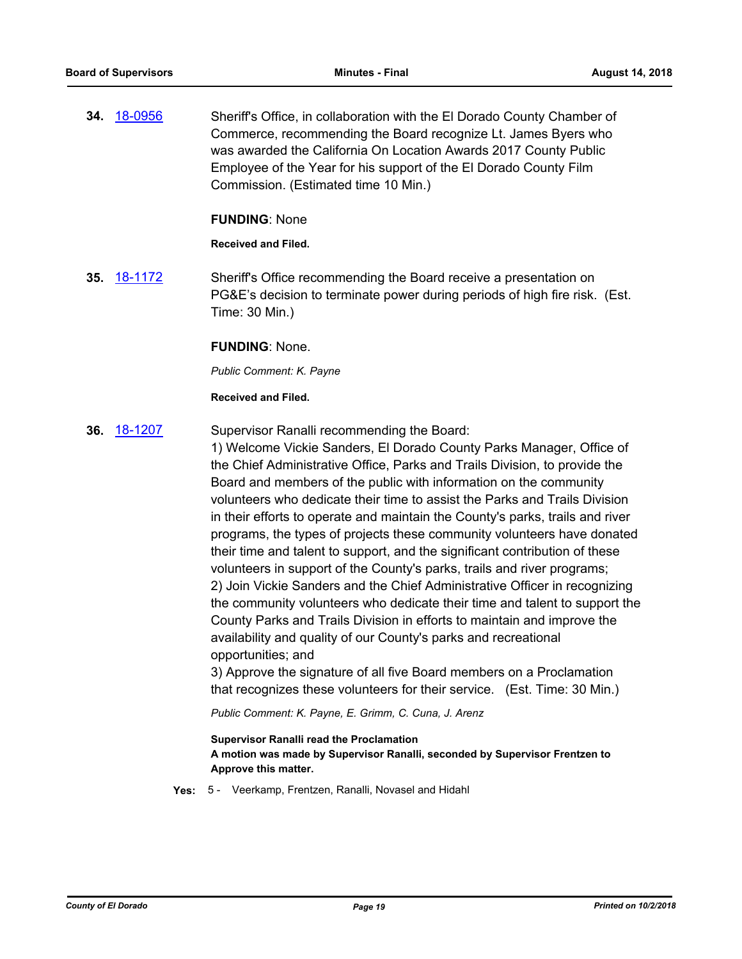**34.** [18-0956](http://eldorado.legistar.com/gateway.aspx?m=l&id=/matter.aspx?key=24304) Sheriff's Office, in collaboration with the El Dorado County Chamber of Commerce, recommending the Board recognize Lt. James Byers who was awarded the California On Location Awards 2017 County Public Employee of the Year for his support of the El Dorado County Film Commission. (Estimated time 10 Min.)

### **FUNDING**: None

**Received and Filed.**

**35.** [18-1172](http://eldorado.legistar.com/gateway.aspx?m=l&id=/matter.aspx?key=24522) Sheriff's Office recommending the Board receive a presentation on PG&E's decision to terminate power during periods of high fire risk. (Est. Time: 30 Min.)

### **FUNDING**: None.

*Public Comment: K. Payne*

### **Received and Filed.**

**36.** [18-1207](http://eldorado.legistar.com/gateway.aspx?m=l&id=/matter.aspx?key=24558) Supervisor Ranalli recommending the Board:

1) Welcome Vickie Sanders, El Dorado County Parks Manager, Office of the Chief Administrative Office, Parks and Trails Division, to provide the Board and members of the public with information on the community volunteers who dedicate their time to assist the Parks and Trails Division in their efforts to operate and maintain the County's parks, trails and river programs, the types of projects these community volunteers have donated their time and talent to support, and the significant contribution of these volunteers in support of the County's parks, trails and river programs; 2) Join Vickie Sanders and the Chief Administrative Officer in recognizing the community volunteers who dedicate their time and talent to support the County Parks and Trails Division in efforts to maintain and improve the availability and quality of our County's parks and recreational opportunities; and

3) Approve the signature of all five Board members on a Proclamation that recognizes these volunteers for their service. (Est. Time: 30 Min.)

*Public Comment: K. Payne, E. Grimm, C. Cuna, J. Arenz*

**Supervisor Ranalli read the Proclamation A motion was made by Supervisor Ranalli, seconded by Supervisor Frentzen to Approve this matter.**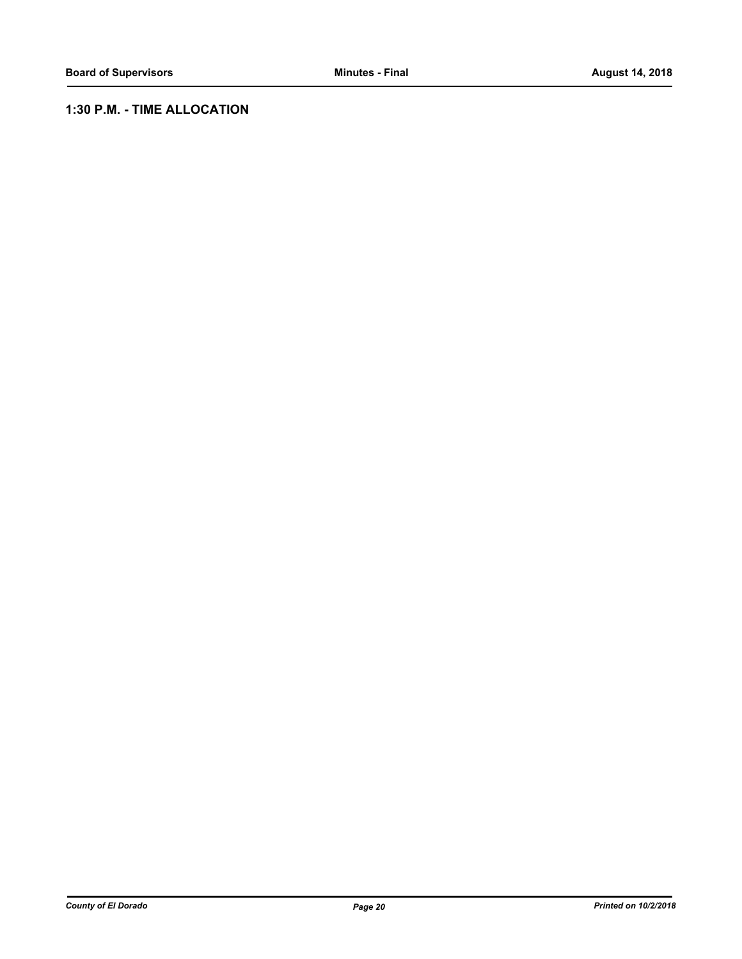# **1:30 P.M. - TIME ALLOCATION**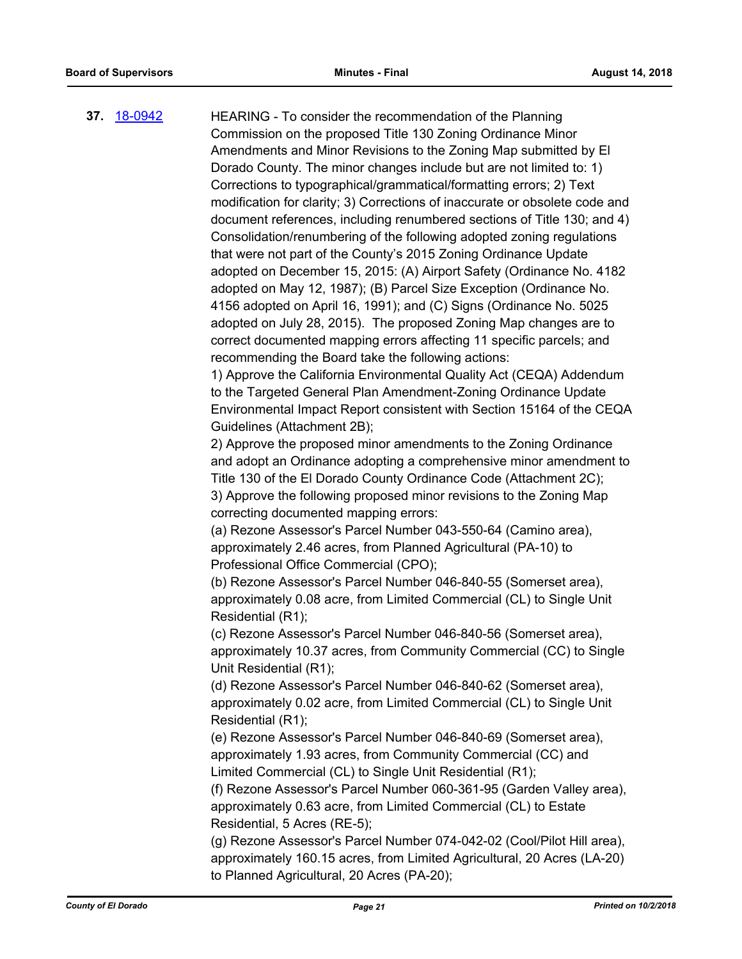**37.** [18-0942](http://eldorado.legistar.com/gateway.aspx?m=l&id=/matter.aspx?key=24290) HEARING - To consider the recommendation of the Planning Commission on the proposed Title 130 Zoning Ordinance Minor Amendments and Minor Revisions to the Zoning Map submitted by El Dorado County. The minor changes include but are not limited to: 1) Corrections to typographical/grammatical/formatting errors; 2) Text modification for clarity; 3) Corrections of inaccurate or obsolete code and document references, including renumbered sections of Title 130; and 4) Consolidation/renumbering of the following adopted zoning regulations that were not part of the County's 2015 Zoning Ordinance Update adopted on December 15, 2015: (A) Airport Safety (Ordinance No. 4182 adopted on May 12, 1987); (B) Parcel Size Exception (Ordinance No. 4156 adopted on April 16, 1991); and (C) Signs (Ordinance No. 5025 adopted on July 28, 2015). The proposed Zoning Map changes are to correct documented mapping errors affecting 11 specific parcels; and recommending the Board take the following actions: 1) Approve the California Environmental Quality Act (CEQA) Addendum to the Targeted General Plan Amendment-Zoning Ordinance Update Environmental Impact Report consistent with Section 15164 of the CEQA Guidelines (Attachment 2B); 2) Approve the proposed minor amendments to the Zoning Ordinance and adopt an Ordinance adopting a comprehensive minor amendment to Title 130 of the El Dorado County Ordinance Code (Attachment 2C); 3) Approve the following proposed minor revisions to the Zoning Map correcting documented mapping errors: (a) Rezone Assessor's Parcel Number 043-550-64 (Camino area), approximately 2.46 acres, from Planned Agricultural (PA-10) to Professional Office Commercial (CPO); (b) Rezone Assessor's Parcel Number 046-840-55 (Somerset area), approximately 0.08 acre, from Limited Commercial (CL) to Single Unit Residential (R1); (c) Rezone Assessor's Parcel Number 046-840-56 (Somerset area), approximately 10.37 acres, from Community Commercial (CC) to Single Unit Residential (R1); (d) Rezone Assessor's Parcel Number 046-840-62 (Somerset area), approximately 0.02 acre, from Limited Commercial (CL) to Single Unit Residential (R1); (e) Rezone Assessor's Parcel Number 046-840-69 (Somerset area), approximately 1.93 acres, from Community Commercial (CC) and Limited Commercial (CL) to Single Unit Residential (R1); (f) Rezone Assessor's Parcel Number 060-361-95 (Garden Valley area), approximately 0.63 acre, from Limited Commercial (CL) to Estate Residential, 5 Acres (RE-5); (g) Rezone Assessor's Parcel Number 074-042-02 (Cool/Pilot Hill area), approximately 160.15 acres, from Limited Agricultural, 20 Acres (LA-20) to Planned Agricultural, 20 Acres (PA-20);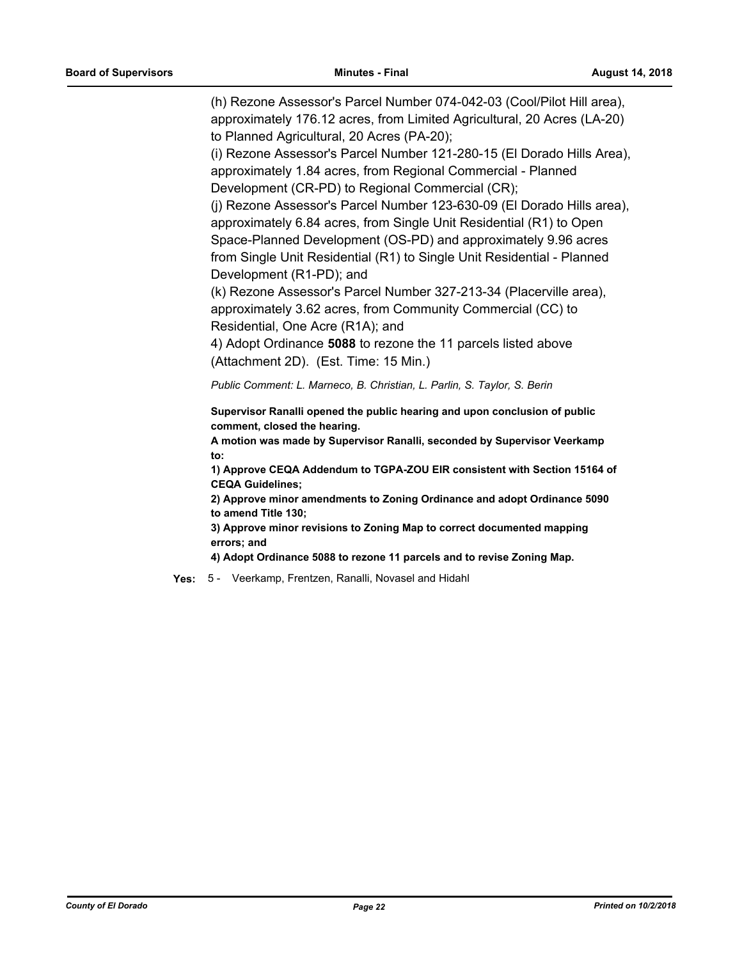(h) Rezone Assessor's Parcel Number 074-042-03 (Cool/Pilot Hill area), approximately 176.12 acres, from Limited Agricultural, 20 Acres (LA-20) to Planned Agricultural, 20 Acres (PA-20);

(i) Rezone Assessor's Parcel Number 121-280-15 (El Dorado Hills Area), approximately 1.84 acres, from Regional Commercial - Planned Development (CR-PD) to Regional Commercial (CR);

(j) Rezone Assessor's Parcel Number 123-630-09 (El Dorado Hills area), approximately 6.84 acres, from Single Unit Residential (R1) to Open Space-Planned Development (OS-PD) and approximately 9.96 acres from Single Unit Residential (R1) to Single Unit Residential - Planned Development (R1-PD); and

(k) Rezone Assessor's Parcel Number 327-213-34 (Placerville area), approximately 3.62 acres, from Community Commercial (CC) to Residential, One Acre (R1A); and

4) Adopt Ordinance **5088** to rezone the 11 parcels listed above (Attachment 2D). (Est. Time: 15 Min.)

*Public Comment: L. Marneco, B. Christian, L. Parlin, S. Taylor, S. Berin*

**Supervisor Ranalli opened the public hearing and upon conclusion of public comment, closed the hearing.**

**A motion was made by Supervisor Ranalli, seconded by Supervisor Veerkamp to:**

**1) Approve CEQA Addendum to TGPA-ZOU EIR consistent with Section 15164 of CEQA Guidelines;**

**2) Approve minor amendments to Zoning Ordinance and adopt Ordinance 5090 to amend Title 130;**

**3) Approve minor revisions to Zoning Map to correct documented mapping errors; and**

**4) Adopt Ordinance 5088 to rezone 11 parcels and to revise Zoning Map.**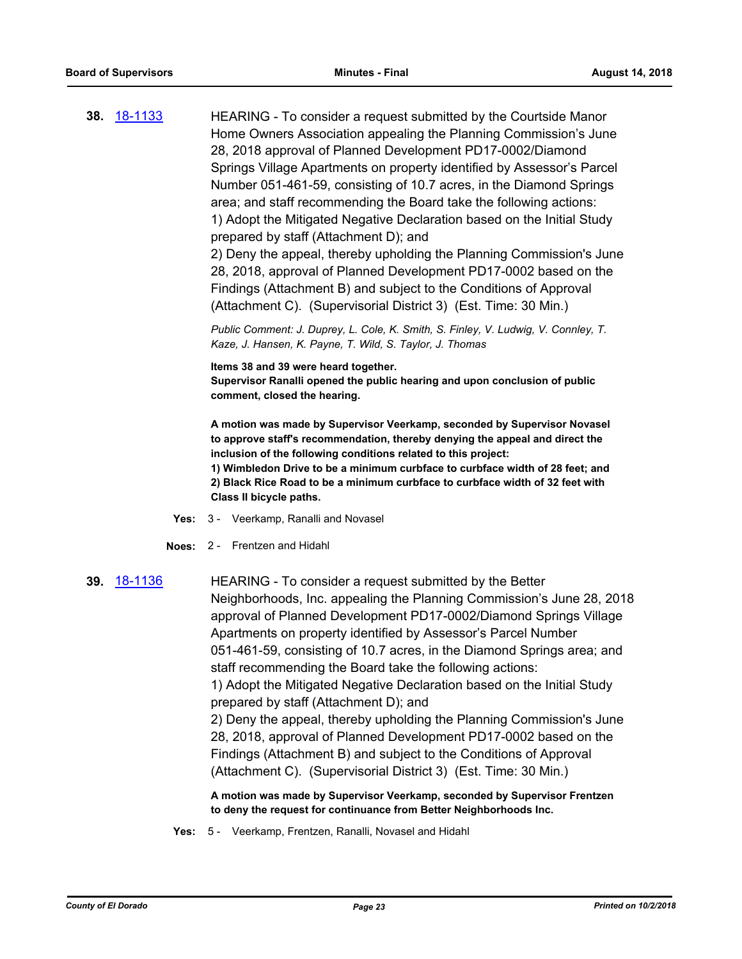| <b>38.</b> 18-1133 | HEARING - To consider a request submitted by the Courtside Manor<br>Home Owners Association appealing the Planning Commission's June<br>28, 2018 approval of Planned Development PD17-0002/Diamond<br>Springs Village Apartments on property identified by Assessor's Parcel<br>Number 051-461-59, consisting of 10.7 acres, in the Diamond Springs<br>area; and staff recommending the Board take the following actions:<br>1) Adopt the Mitigated Negative Declaration based on the Initial Study<br>prepared by staff (Attachment D); and<br>2) Deny the appeal, thereby upholding the Planning Commission's June<br>28, 2018, approval of Planned Development PD17-0002 based on the<br>Findings (Attachment B) and subject to the Conditions of Approval<br>(Attachment C). (Supervisorial District 3) (Est. Time: 30 Min.) |
|--------------------|----------------------------------------------------------------------------------------------------------------------------------------------------------------------------------------------------------------------------------------------------------------------------------------------------------------------------------------------------------------------------------------------------------------------------------------------------------------------------------------------------------------------------------------------------------------------------------------------------------------------------------------------------------------------------------------------------------------------------------------------------------------------------------------------------------------------------------|
|                    | Public Comment: J. Duprey, L. Cole, K. Smith, S. Finley, V. Ludwig, V. Connley, T.<br>Kaze, J. Hansen, K. Payne, T. Wild, S. Taylor, J. Thomas                                                                                                                                                                                                                                                                                                                                                                                                                                                                                                                                                                                                                                                                                   |
|                    | Items 38 and 39 were heard together.<br>Supervisor Ranalli opened the public hearing and upon conclusion of public<br>comment, closed the hearing.                                                                                                                                                                                                                                                                                                                                                                                                                                                                                                                                                                                                                                                                               |
|                    | A motion was made by Supervisor Veerkamp, seconded by Supervisor Novasel<br>to approve staff's recommendation, thereby denying the appeal and direct the<br>inclusion of the following conditions related to this project:<br>1) Wimbledon Drive to be a minimum curbface to curbface width of 28 feet; and<br>2) Black Rice Road to be a minimum curbface to curbface width of 32 feet with<br>Class II bicycle paths.                                                                                                                                                                                                                                                                                                                                                                                                          |
| Yes:               | 3 - Veerkamp, Ranalli and Novasel                                                                                                                                                                                                                                                                                                                                                                                                                                                                                                                                                                                                                                                                                                                                                                                                |
| Noes:              | 2 - Frentzen and Hidahl                                                                                                                                                                                                                                                                                                                                                                                                                                                                                                                                                                                                                                                                                                                                                                                                          |
| 39. 18-1136        | HEARING - To consider a request submitted by the Better<br>Neighborhoods, Inc. appealing the Planning Commission's June 28, 2018<br>approval of Planned Development PD17-0002/Diamond Springs Village<br>Apartments on property identified by Assessor's Parcel Number<br>051-461-59, consisting of 10.7 acres, in the Diamond Springs area; and<br>staff recommending the Board take the following actions:<br>4). A shank than Mitigate di Magnetice Danhametice base of an theological Ottoder                                                                                                                                                                                                                                                                                                                                |

1) Adopt the Mitigated Negative Declaration based on the Initial Study prepared by staff (Attachment D); and

2) Deny the appeal, thereby upholding the Planning Commission's June 28, 2018, approval of Planned Development PD17-0002 based on the Findings (Attachment B) and subject to the Conditions of Approval (Attachment C). (Supervisorial District 3) (Est. Time: 30 Min.)

**A motion was made by Supervisor Veerkamp, seconded by Supervisor Frentzen to deny the request for continuance from Better Neighborhoods Inc.**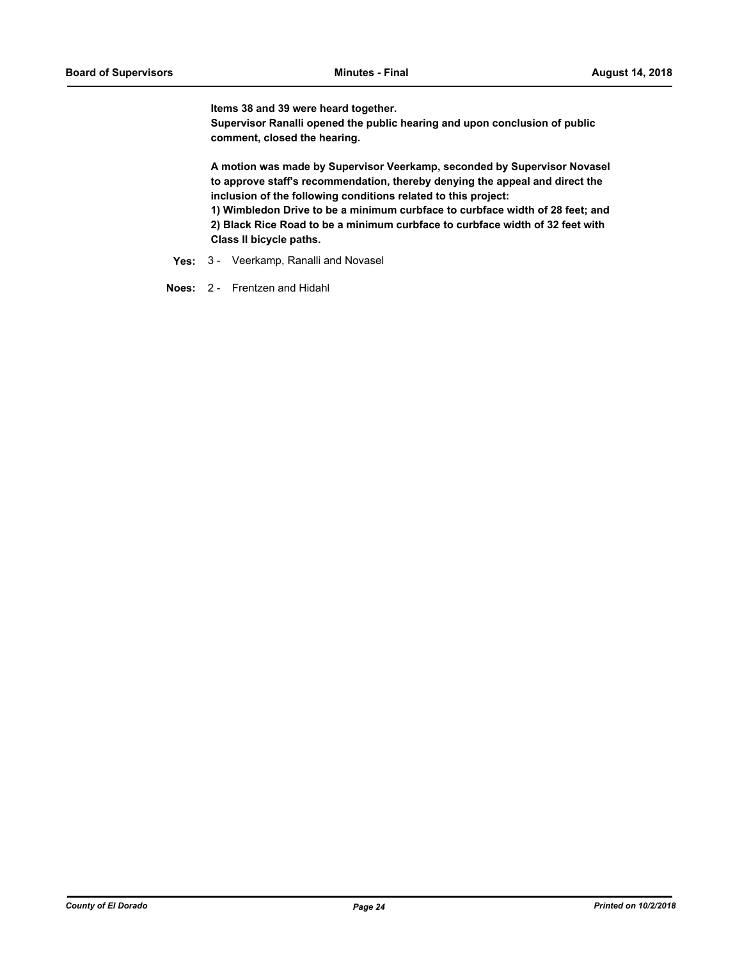**Items 38 and 39 were heard together.** 

**Supervisor Ranalli opened the public hearing and upon conclusion of public comment, closed the hearing.**

**A motion was made by Supervisor Veerkamp, seconded by Supervisor Novasel to approve staff's recommendation, thereby denying the appeal and direct the inclusion of the following conditions related to this project:**

**1) Wimbledon Drive to be a minimum curbface to curbface width of 28 feet; and 2) Black Rice Road to be a minimum curbface to curbface width of 32 feet with Class II bicycle paths.**

### **Yes:** 3 - Veerkamp, Ranalli and Novasel

**Noes:** 2 - Frentzen and Hidahl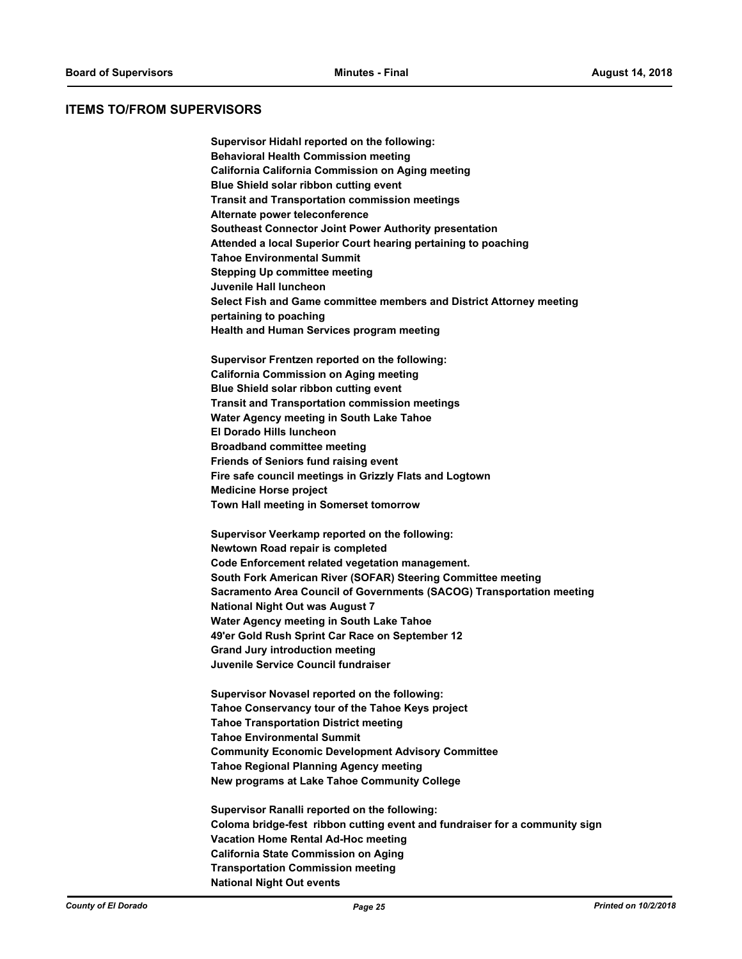### **ITEMS TO/FROM SUPERVISORS**

**Supervisor Hidahl reported on the following: Behavioral Health Commission meeting California California Commission on Aging meeting Blue Shield solar ribbon cutting event Transit and Transportation commission meetings Alternate power teleconference Southeast Connector Joint Power Authority presentation Attended a local Superior Court hearing pertaining to poaching Tahoe Environmental Summit Stepping Up committee meeting Juvenile Hall luncheon Select Fish and Game committee members and District Attorney meeting pertaining to poaching Health and Human Services program meeting**

**Supervisor Frentzen reported on the following: California Commission on Aging meeting Blue Shield solar ribbon cutting event Transit and Transportation commission meetings Water Agency meeting in South Lake Tahoe El Dorado Hills luncheon Broadband committee meeting Friends of Seniors fund raising event Fire safe council meetings in Grizzly Flats and Logtown Medicine Horse project Town Hall meeting in Somerset tomorrow**

**Supervisor Veerkamp reported on the following: Newtown Road repair is completed Code Enforcement related vegetation management. South Fork American River (SOFAR) Steering Committee meeting Sacramento Area Council of Governments (SACOG) Transportation meeting National Night Out was August 7 Water Agency meeting in South Lake Tahoe 49'er Gold Rush Sprint Car Race on September 12 Grand Jury introduction meeting Juvenile Service Council fundraiser**

**Supervisor Novasel reported on the following: Tahoe Conservancy tour of the Tahoe Keys project Tahoe Transportation District meeting Tahoe Environmental Summit Community Economic Development Advisory Committee Tahoe Regional Planning Agency meeting New programs at Lake Tahoe Community College**

**Supervisor Ranalli reported on the following: Coloma bridge-fest ribbon cutting event and fundraiser for a community sign Vacation Home Rental Ad-Hoc meeting California State Commission on Aging Transportation Commission meeting National Night Out events**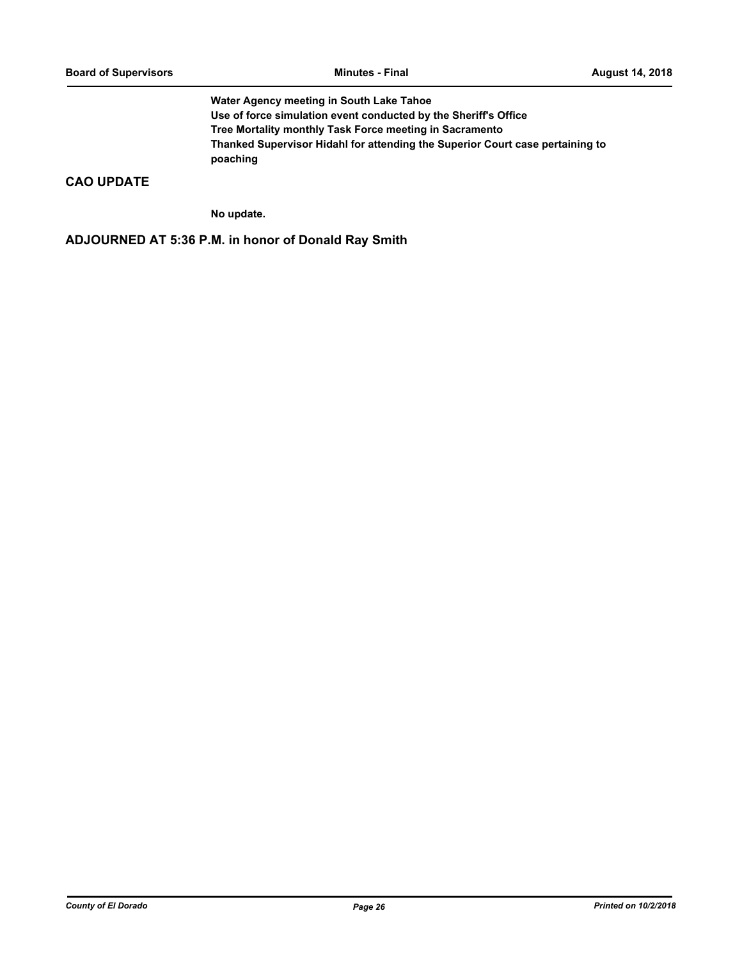**Water Agency meeting in South Lake Tahoe Use of force simulation event conducted by the Sheriff's Office Tree Mortality monthly Task Force meeting in Sacramento Thanked Supervisor Hidahl for attending the Superior Court case pertaining to poaching**

# **CAO UPDATE**

**No update.**

**ADJOURNED AT 5:36 P.M. in honor of Donald Ray Smith**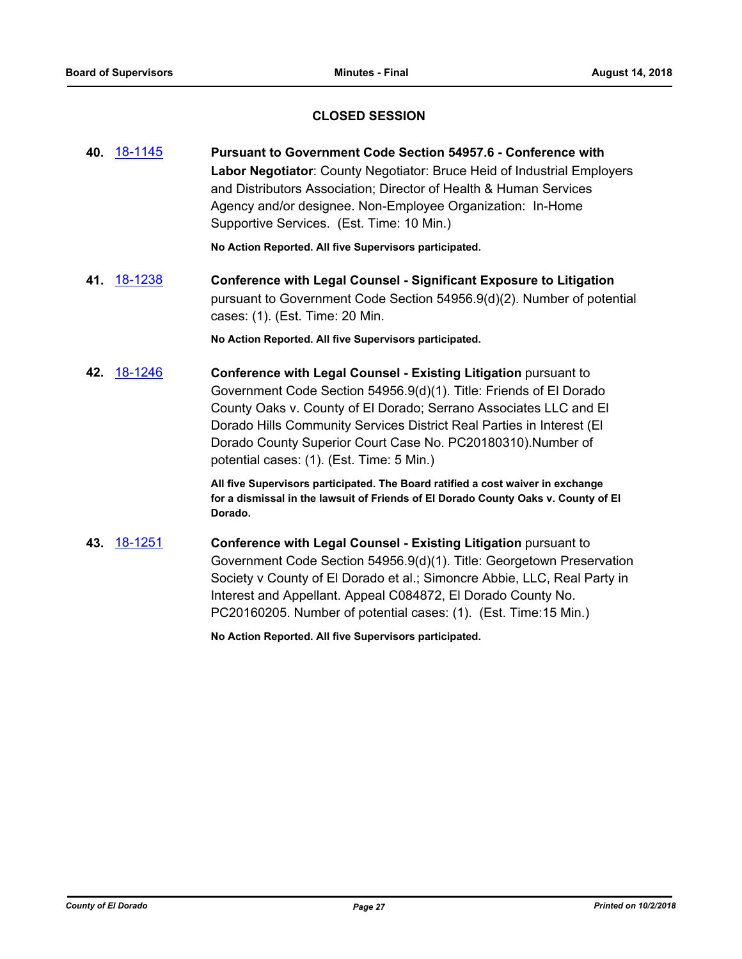# **CLOSED SESSION**

| <b>Pursuant to Government Code Section 54957.6 - Conference with</b>    |
|-------------------------------------------------------------------------|
| Labor Negotiator: County Negotiator: Bruce Heid of Industrial Employers |
| and Distributors Association; Director of Health & Human Services       |
| Agency and/or designee. Non-Employee Organization: In-Home              |
| Supportive Services. (Est. Time: 10 Min.)                               |
|                                                                         |

**No Action Reported. All five Supervisors participated.**

**41.** [18-1238](http://eldorado.legistar.com/gateway.aspx?m=l&id=/matter.aspx?key=24589) **Conference with Legal Counsel - Significant Exposure to Litigation** pursuant to Government Code Section 54956.9(d)(2). Number of potential cases: (1). (Est. Time: 20 Min.

**No Action Reported. All five Supervisors participated.**

**42.** [18-1246](http://eldorado.legistar.com/gateway.aspx?m=l&id=/matter.aspx?key=24597) **Conference with Legal Counsel - Existing Litigation** pursuant to Government Code Section 54956.9(d)(1). Title: Friends of El Dorado County Oaks v. County of El Dorado; Serrano Associates LLC and El Dorado Hills Community Services District Real Parties in Interest (El Dorado County Superior Court Case No. PC20180310).Number of potential cases: (1). (Est. Time: 5 Min.)

> **All five Supervisors participated. The Board ratified a cost waiver in exchange for a dismissal in the lawsuit of Friends of El Dorado County Oaks v. County of El Dorado.**

**43.** [18-1251](http://eldorado.legistar.com/gateway.aspx?m=l&id=/matter.aspx?key=24602) **Conference with Legal Counsel - Existing Litigation** pursuant to Government Code Section 54956.9(d)(1). Title: Georgetown Preservation Society v County of El Dorado et al.; Simoncre Abbie, LLC, Real Party in Interest and Appellant. Appeal C084872, El Dorado County No. PC20160205. Number of potential cases: (1). (Est. Time:15 Min.)

**No Action Reported. All five Supervisors participated.**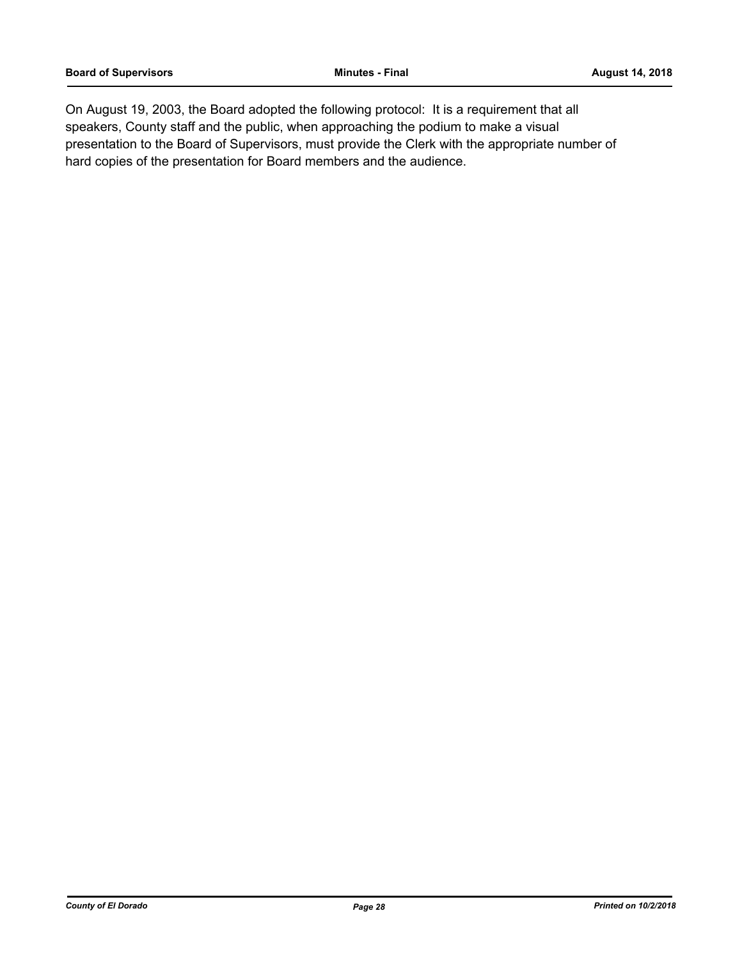On August 19, 2003, the Board adopted the following protocol: It is a requirement that all speakers, County staff and the public, when approaching the podium to make a visual presentation to the Board of Supervisors, must provide the Clerk with the appropriate number of hard copies of the presentation for Board members and the audience.